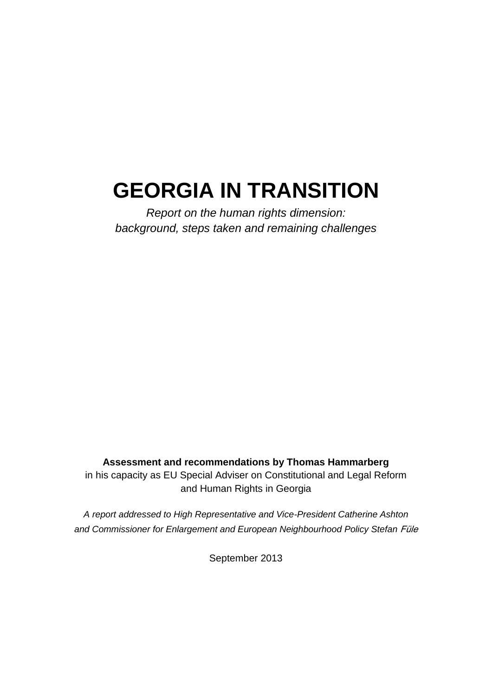# **GEORGIA IN TRANSITION**

*Report on the human rights dimension: background, steps taken and remaining challenges*

**Assessment and recommendations by Thomas Hammarberg**

in his capacity as EU Special Adviser on Constitutional and Legal Reform and Human Rights in Georgia

*A report addressed to High Representative and Vice-President Catherine Ashton and Commissioner for Enlargement and European Neighbourhood Policy Stefan* Füle

September 2013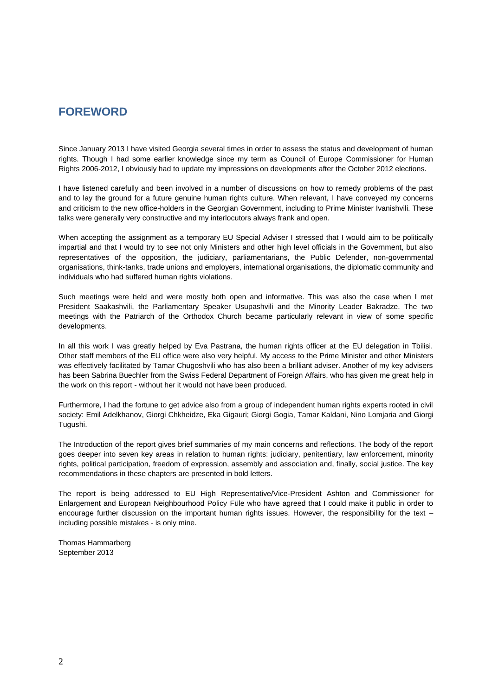# **FOREWORD**

Since January 2013 I have visited Georgia several times in order to assess the status and development of human rights. Though I had some earlier knowledge since my term as Council of Europe Commissioner for Human Rights 2006-2012, I obviously had to update my impressions on developments after the October 2012 elections.

I have listened carefully and been involved in a number of discussions on how to remedy problems of the past and to lay the ground for a future genuine human rights culture. When relevant, I have conveyed my concerns and criticism to the new office-holders in the Georgian Government, including to Prime Minister Ivanishvili. These talks were generally very constructive and my interlocutors always frank and open.

When accepting the assignment as a temporary EU Special Adviser I stressed that I would aim to be politically impartial and that I would try to see not only Ministers and other high level officials in the Government, but also representatives of the opposition, the judiciary, parliamentarians, the Public Defender, non-governmental organisations, think-tanks, trade unions and employers, international organisations, the diplomatic community and individuals who had suffered human rights violations.

Such meetings were held and were mostly both open and informative. This was also the case when I met President Saakashvili, the Parliamentary Speaker Usupashvili and the Minority Leader Bakradze. The two meetings with the Patriarch of the Orthodox Church became particularly relevant in view of some specific developments.

In all this work I was greatly helped by Eva Pastrana, the human rights officer at the EU delegation in Tbilisi. Other staff members of the EU office were also very helpful. My access to the Prime Minister and other Ministers was effectively facilitated by Tamar Chugoshvili who has also been a brilliant adviser. Another of my key advisers has been Sabrina Buechler from the Swiss Federal Department of Foreign Affairs, who has given me great help in the work on this report - without her it would not have been produced.

Furthermore, I had the fortune to get advice also from a group of independent human rights experts rooted in civil society: Emil Adelkhanov, Giorgi Chkheidze, Eka Gigauri; Giorgi Gogia, Tamar Kaldani, Nino Lomjaria and Giorgi Tugushi.

The Introduction of the report gives brief summaries of my main concerns and reflections. The body of the report goes deeper into seven key areas in relation to human rights: judiciary, penitentiary, law enforcement, minority rights, political participation, freedom of expression, assembly and association and, finally, social justice. The key recommendations in these chapters are presented in bold letters.

The report is being addressed to EU High Representative/Vice-President Ashton and Commissioner for Enlargement and European Neighbourhood Policy Füle who have agreed that I could make it public in order to encourage further discussion on the important human rights issues. However, the responsibility for the text – including possible mistakes - is only mine.

Thomas Hammarberg September 2013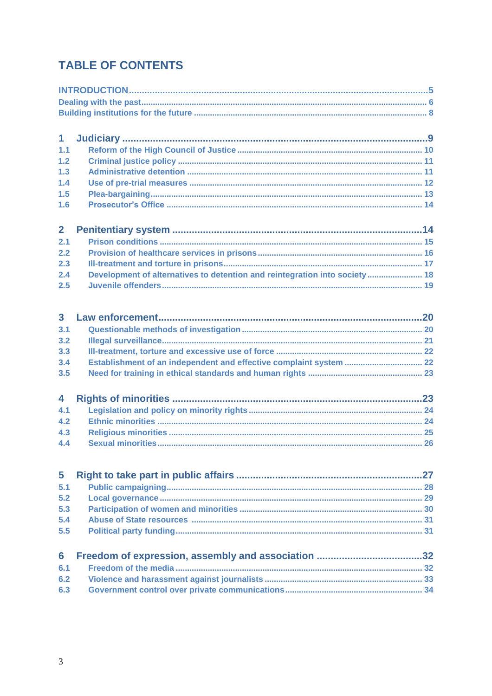# **TABLE OF CONTENTS**

| $\mathbf{1}$            |                                                                            |  |  |  |  |
|-------------------------|----------------------------------------------------------------------------|--|--|--|--|
| 1.1                     |                                                                            |  |  |  |  |
| $1.2$                   |                                                                            |  |  |  |  |
| 1.3                     |                                                                            |  |  |  |  |
| 1.4                     |                                                                            |  |  |  |  |
| 1.5                     |                                                                            |  |  |  |  |
| 1.6                     |                                                                            |  |  |  |  |
|                         |                                                                            |  |  |  |  |
| $\overline{2}$          |                                                                            |  |  |  |  |
| 2.1                     |                                                                            |  |  |  |  |
| 2.2                     |                                                                            |  |  |  |  |
| 2.3                     |                                                                            |  |  |  |  |
| 2.4                     | Development of alternatives to detention and reintegration into society 18 |  |  |  |  |
| 2.5                     |                                                                            |  |  |  |  |
|                         |                                                                            |  |  |  |  |
| $\overline{\mathbf{3}}$ |                                                                            |  |  |  |  |
| 3.1                     |                                                                            |  |  |  |  |
| 3.2                     |                                                                            |  |  |  |  |
| 3.3                     |                                                                            |  |  |  |  |
| 3.4                     |                                                                            |  |  |  |  |
| 3.5                     | Establishment of an independent and effective complaint system  22         |  |  |  |  |
|                         |                                                                            |  |  |  |  |
| 4                       |                                                                            |  |  |  |  |
| 4.1                     |                                                                            |  |  |  |  |
| 4.2                     |                                                                            |  |  |  |  |
| 4.3                     |                                                                            |  |  |  |  |
| 4.4                     |                                                                            |  |  |  |  |
|                         |                                                                            |  |  |  |  |
| 5                       |                                                                            |  |  |  |  |
| 5.1                     |                                                                            |  |  |  |  |
| 5.2                     |                                                                            |  |  |  |  |
| 5.3                     |                                                                            |  |  |  |  |
| 5.4                     |                                                                            |  |  |  |  |
| 5.5                     |                                                                            |  |  |  |  |
| 6                       |                                                                            |  |  |  |  |
| 6.1                     |                                                                            |  |  |  |  |
|                         |                                                                            |  |  |  |  |
| 6.2                     |                                                                            |  |  |  |  |
| 6.3                     |                                                                            |  |  |  |  |
|                         |                                                                            |  |  |  |  |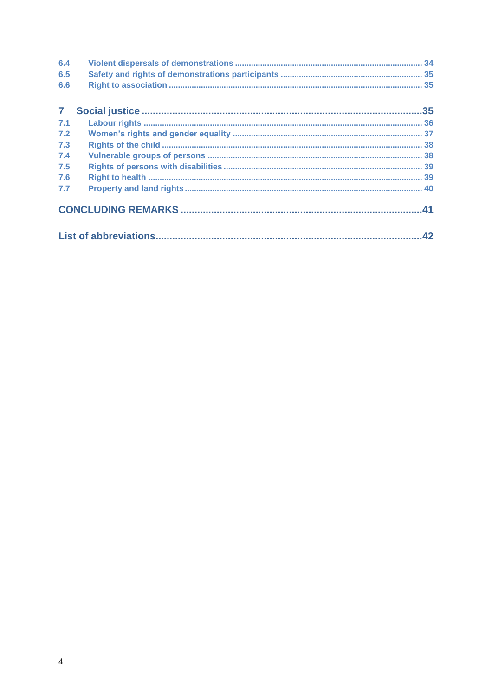| 6.4            |  |
|----------------|--|
| 6.5            |  |
| 6.6            |  |
| 7 <sup>7</sup> |  |
| 7.1            |  |
| 7.2            |  |
| 7.3            |  |
| 7.4            |  |
| 7.5            |  |
| 7.6            |  |
| 7.7            |  |
|                |  |
|                |  |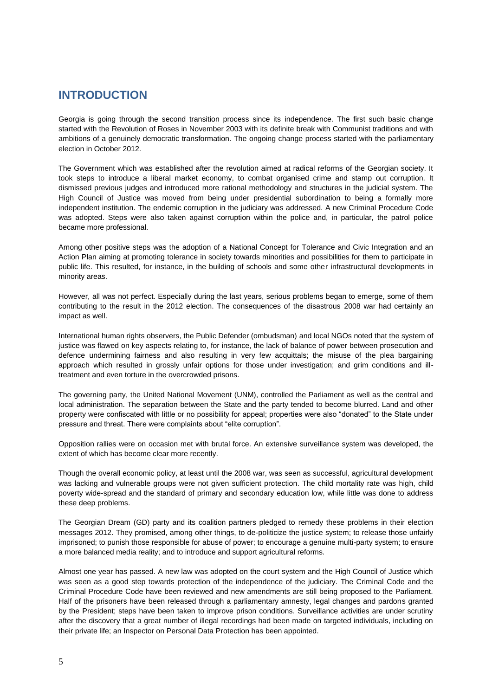### **INTRODUCTION**

Georgia is going through the second transition process since its independence. The first such basic change started with the Revolution of Roses in November 2003 with its definite break with Communist traditions and with ambitions of a genuinely democratic transformation. The ongoing change process started with the parliamentary election in October 2012.

The Government which was established after the revolution aimed at radical reforms of the Georgian society. It took steps to introduce a liberal market economy, to combat organised crime and stamp out corruption. It dismissed previous judges and introduced more rational methodology and structures in the judicial system. The High Council of Justice was moved from being under presidential subordination to being a formally more independent institution. The endemic corruption in the judiciary was addressed. A new Criminal Procedure Code was adopted. Steps were also taken against corruption within the police and, in particular, the patrol police became more professional.

Among other positive steps was the adoption of a National Concept for Tolerance and Civic Integration and an Action Plan aiming at promoting tolerance in society towards minorities and possibilities for them to participate in public life. This resulted, for instance, in the building of schools and some other infrastructural developments in minority areas.

However, all was not perfect. Especially during the last years, serious problems began to emerge, some of them contributing to the result in the 2012 election. The consequences of the disastrous 2008 war had certainly an impact as well.

International human rights observers, the Public Defender (ombudsman) and local NGOs noted that the system of justice was flawed on key aspects relating to, for instance, the lack of balance of power between prosecution and defence undermining fairness and also resulting in very few acquittals; the misuse of the plea bargaining approach which resulted in grossly unfair options for those under investigation; and grim conditions and illtreatment and even torture in the overcrowded prisons.

The governing party, the United National Movement (UNM), controlled the Parliament as well as the central and local administration. The separation between the State and the party tended to become blurred. Land and other property were confiscated with little or no possibility for appeal; properties were also "donated" to the State under pressure and threat. There were complaints about "elite corruption".

Opposition rallies were on occasion met with brutal force. An extensive surveillance system was developed, the extent of which has become clear more recently.

Though the overall economic policy, at least until the 2008 war, was seen as successful, agricultural development was lacking and vulnerable groups were not given sufficient protection. The child mortality rate was high, child poverty wide-spread and the standard of primary and secondary education low, while little was done to address these deep problems.

The Georgian Dream (GD) party and its coalition partners pledged to remedy these problems in their election messages 2012. They promised, among other things, to de-politicize the justice system; to release those unfairly imprisoned; to punish those responsible for abuse of power; to encourage a genuine multi-party system; to ensure a more balanced media reality; and to introduce and support agricultural reforms.

Almost one year has passed. A new law was adopted on the court system and the High Council of Justice which was seen as a good step towards protection of the independence of the judiciary. The Criminal Code and the Criminal Procedure Code have been reviewed and new amendments are still being proposed to the Parliament. Half of the prisoners have been released through a parliamentary amnesty, legal changes and pardons granted by the President; steps have been taken to improve prison conditions. Surveillance activities are under scrutiny after the discovery that a great number of illegal recordings had been made on targeted individuals, including on their private life; an Inspector on Personal Data Protection has been appointed.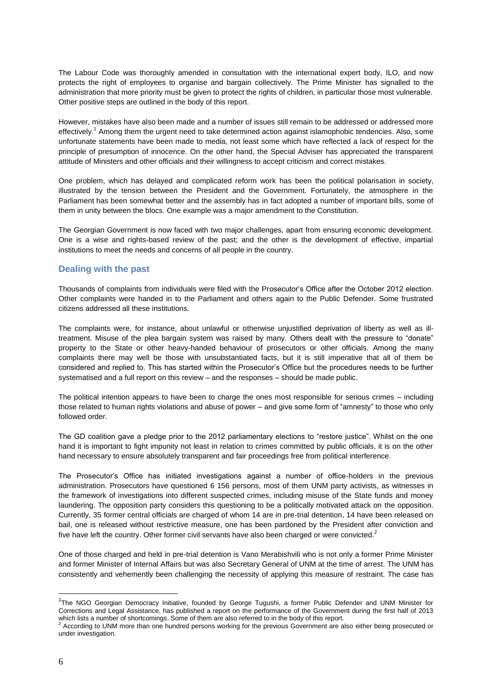The Labour Code was thoroughly amended in consultation with the international expert body, ILO, and now protects the right of employees to organise and bargain collectively. The Prime Minister has signalled to the administration that more priority must be given to protect the rights of children, in particular those most vulnerable. Other positive steps are outlined in the body of this report.

However, mistakes have also been made and a number of issues still remain to be addressed or addressed more effectively.<sup>1</sup> Among them the urgent need to take determined action against islamophobic tendencies. Also, some unfortunate statements have been made to media, not least some which have reflected a lack of respect for the principle of presumption of innocence. On the other hand, the Special Adviser has appreciated the transparent attitude of Ministers and other officials and their willingness to accept criticism and correct mistakes.

One problem, which has delayed and complicated reform work has been the political polarisation in society, illustrated by the tension between the President and the Government. Fortunately, the atmosphere in the Parliament has been somewhat better and the assembly has in fact adopted a number of important bills, some of them in unity between the blocs. One example was a major amendment to the Constitution.

The Georgian Government is now faced with two major challenges, apart from ensuring economic development. One is a wise and rights-based review of the past; and the other is the development of effective, impartial institutions to meet the needs and concerns of all people in the country.

#### **Dealing with the past**

Thousands of complaints from individuals were filed with the Prosecutor's Office after the October 2012 election. Other complaints were handed in to the Parliament and others again to the Public Defender. Some frustrated citizens addressed all these institutions.

The complaints were, for instance, about unlawful or otherwise unjustified deprivation of liberty as well as illtreatment. Misuse of the plea bargain system was raised by many. Others dealt with the pressure to "donate" property to the State or other heavy-handed behaviour of prosecutors or other officials. Among the many complaints there may well be those with unsubstantiated facts, but it is still imperative that all of them be considered and replied to. This has started within the Prosecutor's Office but the procedures needs to be further systematised and a full report on this review – and the responses – should be made public.

The political intention appears to have been to charge the ones most responsible for serious crimes – including those related to human rights violations and abuse of power – and give some form of "amnesty" to those who only followed order.

The GD coalition gave a pledge prior to the 2012 parliamentary elections to "restore justice". Whilst on the one hand it is important to fight impunity not least in relation to crimes committed by public officials, it is on the other hand necessary to ensure absolutely transparent and fair proceedings free from political interference.

The Prosecutor's Office has initiated investigations against a number of office-holders in the previous administration. Prosecutors have questioned 6 156 persons, most of them UNM party activists, as witnesses in the framework of investigations into different suspected crimes, including misuse of the State funds and money laundering. The opposition party considers this questioning to be a politically motivated attack on the opposition. Currently, 35 former central officials are charged of whom 14 are in pre-trial detention, 14 have been released on bail, one is released without restrictive measure, one has been pardoned by the President after conviction and five have left the country. Other former civil servants have also been charged or were convicted. $2$ 

One of those charged and held in pre-trial detention is Vano Merabishvili who is not only a former Prime Minister and former Minister of Internal Affairs but was also Secretary General of UNM at the time of arrest. The UNM has consistently and vehemently been challenging the necessity of applying this measure of restraint. The case has

<sup>&</sup>lt;sup>1</sup>The NGO Georgian Democracy Initiative, founded by George Tugushi, a former Public Defender and UNM Minister for Corrections and Legal Assistance, has published a report on the performance of the Government during the first half of 2013 which lists a number of shortcomings. Some of them are also referred to in the body of this report.

<sup>2</sup> According to UNM more than one hundred persons working for the previous Government are also either being prosecuted or under investigation.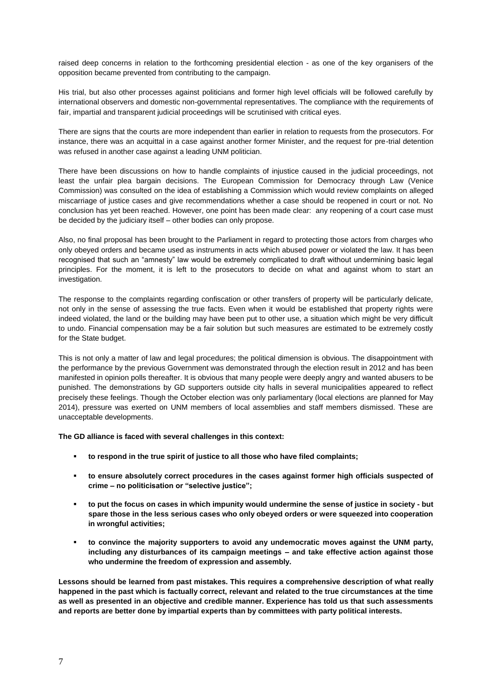raised deep concerns in relation to the forthcoming presidential election - as one of the key organisers of the opposition became prevented from contributing to the campaign.

His trial, but also other processes against politicians and former high level officials will be followed carefully by international observers and domestic non-governmental representatives. The compliance with the requirements of fair, impartial and transparent judicial proceedings will be scrutinised with critical eyes.

There are signs that the courts are more independent than earlier in relation to requests from the prosecutors. For instance, there was an acquittal in a case against another former Minister, and the request for pre-trial detention was refused in another case against a leading UNM politician.

There have been discussions on how to handle complaints of injustice caused in the judicial proceedings, not least the unfair plea bargain decisions. The European Commission for Democracy through Law (Venice Commission) was consulted on the idea of establishing a Commission which would review complaints on alleged miscarriage of justice cases and give recommendations whether a case should be reopened in court or not. No conclusion has yet been reached. However, one point has been made clear: any reopening of a court case must be decided by the judiciary itself – other bodies can only propose.

Also, no final proposal has been brought to the Parliament in regard to protecting those actors from charges who only obeyed orders and became used as instruments in acts which abused power or violated the law. It has been recognised that such an "amnesty" law would be extremely complicated to draft without undermining basic legal principles. For the moment, it is left to the prosecutors to decide on what and against whom to start an investigation.

The response to the complaints regarding confiscation or other transfers of property will be particularly delicate, not only in the sense of assessing the true facts. Even when it would be established that property rights were indeed violated, the land or the building may have been put to other use, a situation which might be very difficult to undo. Financial compensation may be a fair solution but such measures are estimated to be extremely costly for the State budget.

This is not only a matter of law and legal procedures; the political dimension is obvious. The disappointment with the performance by the previous Government was demonstrated through the election result in 2012 and has been manifested in opinion polls thereafter. It is obvious that many people were deeply angry and wanted abusers to be punished. The demonstrations by GD supporters outside city halls in several municipalities appeared to reflect precisely these feelings. Though the October election was only parliamentary (local elections are planned for May 2014), pressure was exerted on UNM members of local assemblies and staff members dismissed. These are unacceptable developments.

**The GD alliance is faced with several challenges in this context:** 

- **to respond in the true spirit of justice to all those who have filed complaints;**
- **to ensure absolutely correct procedures in the cases against former high officials suspected of crime – no politicisation or "selective justice";**
- **to put the focus on cases in which impunity would undermine the sense of justice in society - but spare those in the less serious cases who only obeyed orders or were squeezed into cooperation in wrongful activities;**
- **to convince the majority supporters to avoid any undemocratic moves against the UNM party, including any disturbances of its campaign meetings – and take effective action against those who undermine the freedom of expression and assembly.**

**Lessons should be learned from past mistakes. This requires a comprehensive description of what really happened in the past which is factually correct, relevant and related to the true circumstances at the time as well as presented in an objective and credible manner. Experience has told us that such assessments and reports are better done by impartial experts than by committees with party political interests.**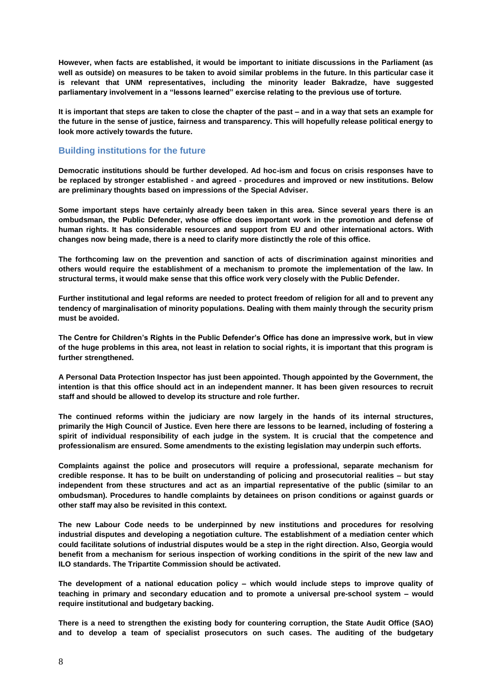**However, when facts are established, it would be important to initiate discussions in the Parliament (as well as outside) on measures to be taken to avoid similar problems in the future. In this particular case it is relevant that UNM representatives, including the minority leader Bakradze, have suggested parliamentary involvement in a "lessons learned" exercise relating to the previous use of torture.**

**It is important that steps are taken to close the chapter of the past – and in a way that sets an example for the future in the sense of justice, fairness and transparency. This will hopefully release political energy to look more actively towards the future.** 

#### **Building institutions for the future**

**Democratic institutions should be further developed. Ad hoc-ism and focus on crisis responses have to be replaced by stronger established - and agreed - procedures and improved or new institutions. Below are preliminary thoughts based on impressions of the Special Adviser.**

**Some important steps have certainly already been taken in this area. Since several years there is an ombudsman, the Public Defender, whose office does important work in the promotion and defense of human rights. It has considerable resources and support from EU and other international actors. With changes now being made, there is a need to clarify more distinctly the role of this office.**

**The forthcoming law on the prevention and sanction of acts of discrimination against minorities and others would require the establishment of a mechanism to promote the implementation of the law. In structural terms, it would make sense that this office work very closely with the Public Defender.**

**Further institutional and legal reforms are needed to protect freedom of religion for all and to prevent any tendency of marginalisation of minority populations. Dealing with them mainly through the security prism must be avoided.**

**The Centre for Children's Rights in the Public Defender's Office has done an impressive work, but in view of the huge problems in this area, not least in relation to social rights, it is important that this program is further strengthened.**

**A Personal Data Protection Inspector has just been appointed. Though appointed by the Government, the intention is that this office should act in an independent manner. It has been given resources to recruit staff and should be allowed to develop its structure and role further.**

**The continued reforms within the judiciary are now largely in the hands of its internal structures, primarily the High Council of Justice. Even here there are lessons to be learned, including of fostering a spirit of individual responsibility of each judge in the system. It is crucial that the competence and professionalism are ensured. Some amendments to the existing legislation may underpin such efforts.** 

**Complaints against the police and prosecutors will require a professional, separate mechanism for credible response. It has to be built on understanding of policing and prosecutorial realities – but stay independent from these structures and act as an impartial representative of the public (similar to an ombudsman). Procedures to handle complaints by detainees on prison conditions or against guards or other staff may also be revisited in this context.**

**The new Labour Code needs to be underpinned by new institutions and procedures for resolving industrial disputes and developing a negotiation culture. The establishment of a mediation center which could facilitate solutions of industrial disputes would be a step in the right direction. Also, Georgia would benefit from a mechanism for serious inspection of working conditions in the spirit of the new law and ILO standards. The Tripartite Commission should be activated.** 

**The development of a national education policy – which would include steps to improve quality of teaching in primary and secondary education and to promote a universal pre-school system – would require institutional and budgetary backing.** 

**There is a need to strengthen the existing body for countering corruption, the State Audit Office (SAO) and to develop a team of specialist prosecutors on such cases. The auditing of the budgetary**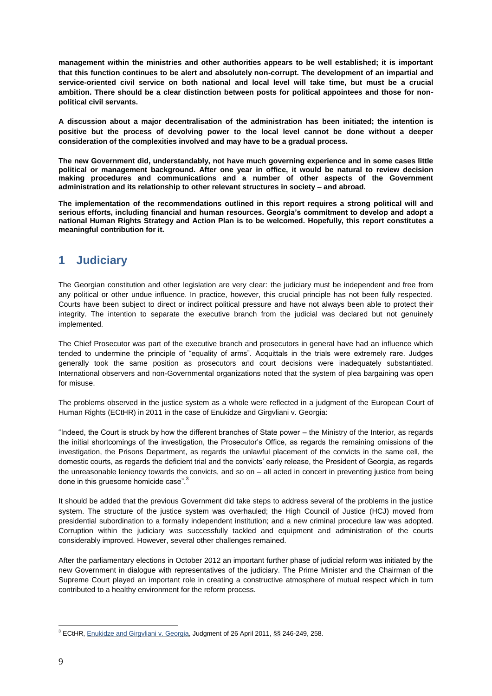**management within the ministries and other authorities appears to be well established; it is important that this function continues to be alert and absolutely non-corrupt. The development of an impartial and service-oriented civil service on both national and local level will take time, but must be a crucial ambition. There should be a clear distinction between posts for political appointees and those for nonpolitical civil servants.** 

**A discussion about a major decentralisation of the administration has been initiated; the intention is positive but the process of devolving power to the local level cannot be done without a deeper consideration of the complexities involved and may have to be a gradual process.**

**The new Government did, understandably, not have much governing experience and in some cases little political or management background. After one year in office, it would be natural to review decision making procedures and communications and a number of other aspects of the Government administration and its relationship to other relevant structures in society – and abroad.**

**The implementation of the recommendations outlined in this report requires a strong political will and serious efforts, including financial and human resources. Georgia's commitment to develop and adopt a national Human Rights Strategy and Action Plan is to be welcomed. Hopefully, this report constitutes a meaningful contribution for it.** 

# **1 Judiciary**

The Georgian constitution and other legislation are very clear: the judiciary must be independent and free from any political or other undue influence. In practice, however, this crucial principle has not been fully respected. Courts have been subject to direct or indirect political pressure and have not always been able to protect their integrity. The intention to separate the executive branch from the judicial was declared but not genuinely implemented.

The Chief Prosecutor was part of the executive branch and prosecutors in general have had an influence which tended to undermine the principle of "equality of arms". Acquittals in the trials were extremely rare. Judges generally took the same position as prosecutors and court decisions were inadequately substantiated. International observers and non-Governmental organizations noted that the system of plea bargaining was open for misuse.

The problems observed in the justice system as a whole were reflected in a judgment of the European Court of Human Rights (ECtHR) in 2011 in the case of Enukidze and Girgvliani v. Georgia:

"Indeed, the Court is struck by how the different branches of State power – the Ministry of the Interior, as regards the initial shortcomings of the investigation, the Prosecutor's Office, as regards the remaining omissions of the investigation, the Prisons Department, as regards the unlawful placement of the convicts in the same cell, the domestic courts, as regards the deficient trial and the convicts' early release, the President of Georgia, as regards the unreasonable leniency towards the convicts, and so on – all acted in concert in preventing justice from being done in this gruesome homicide case".<sup>3</sup>

It should be added that the previous Government did take steps to address several of the problems in the justice system. The structure of the justice system was overhauled; the High Council of Justice (HCJ) moved from presidential subordination to a formally independent institution; and a new criminal procedure law was adopted. Corruption within the judiciary was successfully tackled and equipment and administration of the courts considerably improved. However, several other challenges remained.

After the parliamentary elections in October 2012 an important further phase of judicial reform was initiated by the new Government in dialogue with representatives of the judiciary. The Prime Minister and the Chairman of the Supreme Court played an important role in creating a constructive atmosphere of mutual respect which in turn contributed to a healthy environment for the reform process.

<sup>3</sup> ECtHR, [Enukidze and Girgvliani v. Georgia,](http://echr.ketse.com/doc/25091.07-en-20110426/view/) Judgment of 26 April 2011, §§ 246-249, 258.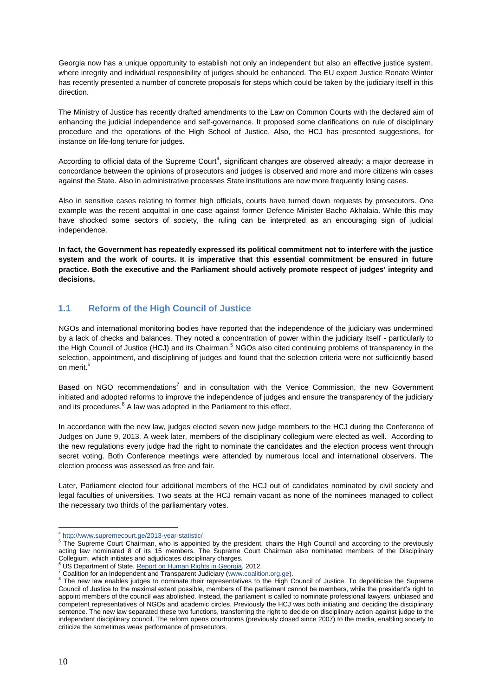Georgia now has a unique opportunity to establish not only an independent but also an effective justice system, where integrity and individual responsibility of judges should be enhanced. The EU expert Justice Renate Winter has recently presented a number of concrete proposals for steps which could be taken by the judiciary itself in this direction.

The Ministry of Justice has recently drafted amendments to the Law on Common Courts with the declared aim of enhancing the judicial independence and self-governance. It proposed some clarifications on rule of disciplinary procedure and the operations of the High School of Justice. Also, the HCJ has presented suggestions, for instance on life-long tenure for judges.

According to official data of the Supreme Court<sup>4</sup>, significant changes are observed already: a major decrease in concordance between the opinions of prosecutors and judges is observed and more and more citizens win cases against the State. Also in administrative processes State institutions are now more frequently losing cases.

Also in sensitive cases relating to former high officials, courts have turned down requests by prosecutors. One example was the recent acquittal in one case against former Defence Minister Bacho Akhalaia. While this may have shocked some sectors of society, the ruling can be interpreted as an encouraging sign of judicial independence.

**In fact, the Government has repeatedly expressed its political commitment not to interfere with the justice system and the work of courts. It is imperative that this essential commitment be ensured in future practice. Both the executive and the Parliament should actively promote respect of judges' integrity and decisions.**

#### **1.1 Reform of the High Council of Justice**

NGOs and international monitoring bodies have reported that the independence of the judiciary was undermined by a lack of checks and balances. They noted a concentration of power within the judiciary itself - particularly to the High Council of Justice (HCJ) and its Chairman.<sup>5</sup> NGOs also cited continuing problems of transparency in the selection, appointment, and disciplining of judges and found that the selection criteria were not sufficiently based on merit.<sup>6</sup>

Based on NGO recommendations<sup>7</sup> and in consultation with the Venice Commission, the new Government initiated and adopted reforms to improve the independence of judges and ensure the transparency of the judiciary and its procedures.<sup>8</sup> A law was adopted in the Parliament to this effect.

In accordance with the new law, judges elected seven new judge members to the HCJ during the Conference of Judges on June 9, 2013. A week later, members of the disciplinary collegium were elected as well. According to the new regulations every judge had the right to nominate the candidates and the election process went through secret voting. Both Conference meetings were attended by numerous local and international observers. The election process was assessed as free and fair.

Later, Parliament elected four additional members of the HCJ out of candidates nominated by civil society and legal faculties of universities. Two seats at the HCJ remain vacant as none of the nominees managed to collect the necessary two thirds of the parliamentary votes.

 $\overline{a}$ 4 <http://www.supremecourt.ge/2013-year-statistic/>

<sup>5</sup> The Supreme Court Chairman, who is appointed by the president, chairs the High Council and according to the previously acting law nominated 8 of its 15 members. The Supreme Court Chairman also nominated members of the Disciplinary Collegium, which initiates and adjudicates disciplinary charges.

US Department of State[, Report on Human Rights in Georgia,](http://www.state.gov/documents/organization/204499.pdf) 2012.

<sup>&</sup>lt;sup>7</sup> Coalition for an Independent and Transparent Judiciary [\(www.coalition.org.ge\)](http://www.coalition.org.ge/).

<sup>&</sup>lt;sup>8</sup> The new law enables judges to nominate their representatives to the High Council of Justice. To depoliticise the Supreme Council of Justice to the maximal extent possible, members of the parliament cannot be members, while the president's right to appoint members of the council was abolished. Instead, the parliament is called to nominate professional lawyers, unbiased and competent representatives of NGOs and academic circles. Previously the HCJ was both initiating and deciding the disciplinary sentence. The new law separated these two functions, transferring the right to decide on disciplinary action against judge to the independent disciplinary council. The reform opens courtrooms (previously closed since 2007) to the media, enabling society to criticize the sometimes weak performance of prosecutors.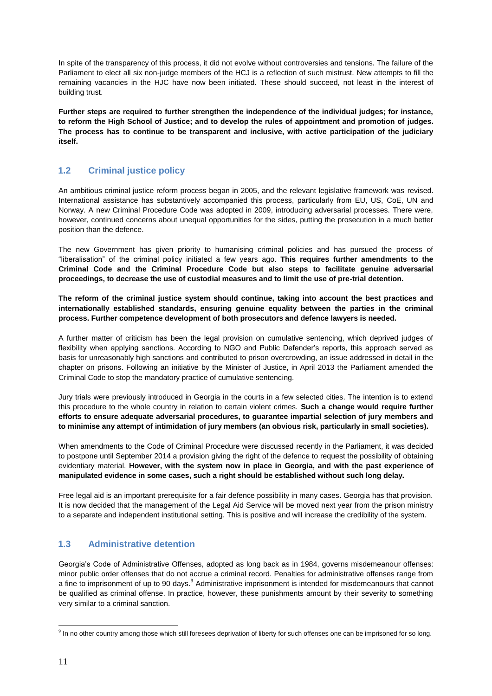In spite of the transparency of this process, it did not evolve without controversies and tensions. The failure of the Parliament to elect all six non-judge members of the HCJ is a reflection of such mistrust. New attempts to fill the remaining vacancies in the HJC have now been initiated. These should succeed, not least in the interest of building trust.

**Further steps are required to further strengthen the independence of the individual judges; for instance, to reform the High School of Justice; and to develop the rules of appointment and promotion of judges. The process has to continue to be transparent and inclusive, with active participation of the judiciary itself.**

#### **1.2 Criminal justice policy**

An ambitious criminal justice reform process began in 2005, and the relevant legislative framework was revised. International assistance has substantively accompanied this process, particularly from EU, US, CoE, UN and Norway. A new Criminal Procedure Code was adopted in 2009, introducing adversarial processes. There were, however, continued concerns about unequal opportunities for the sides, putting the prosecution in a much better position than the defence.

The new Government has given priority to humanising criminal policies and has pursued the process of "liberalisation" of the criminal policy initiated a few years ago. **This requires further amendments to the Criminal Code and the Criminal Procedure Code but also steps to facilitate genuine adversarial proceedings, to decrease the use of custodial measures and to limit the use of pre-trial detention.**

**The reform of the criminal justice system should continue, taking into account the best practices and internationally established standards, ensuring genuine equality between the parties in the criminal process. Further competence development of both prosecutors and defence lawyers is needed.** 

A further matter of criticism has been the legal provision on cumulative sentencing, which deprived judges of flexibility when applying sanctions. According to NGO and Public Defender's reports, this approach served as basis for unreasonably high sanctions and contributed to prison overcrowding, an issue addressed in detail in the chapter on prisons. Following an initiative by the Minister of Justice, in April 2013 the Parliament amended the Criminal Code to stop the mandatory practice of cumulative sentencing.

Jury trials were previously introduced in Georgia in the courts in a few selected cities. The intention is to extend this procedure to the whole country in relation to certain violent crimes. **Such a change would require further efforts to ensure adequate adversarial procedures, to guarantee impartial selection of jury members and to minimise any attempt of intimidation of jury members (an obvious risk, particularly in small societies).**

When amendments to the Code of Criminal Procedure were discussed recently in the Parliament, it was decided to postpone until September 2014 a provision giving the right of the defence to request the possibility of obtaining evidentiary material. **However, with the system now in place in Georgia, and with the past experience of manipulated evidence in some cases, such a right should be established without such long delay.**

Free legal aid is an important prerequisite for a fair defence possibility in many cases. Georgia has that provision. It is now decided that the management of the Legal Aid Service will be moved next year from the prison ministry to a separate and independent institutional setting. This is positive and will increase the credibility of the system.

#### **1.3 Administrative detention**

Georgia's Code of Administrative Offenses, adopted as long back as in 1984, governs misdemeanour offenses: minor public order offenses that do not accrue a criminal record. Penalties for administrative offenses range from a fine to imprisonment of up to 90 days.<sup>9</sup> Administrative imprisonment is intended for misdemeanours that cannot be qualified as criminal offense. In practice, however, these punishments amount by their severity to something very similar to a criminal sanction.

 $\overline{a}$ <sup>9</sup> In no other country among those which still foresees deprivation of liberty for such offenses one can be imprisoned for so long.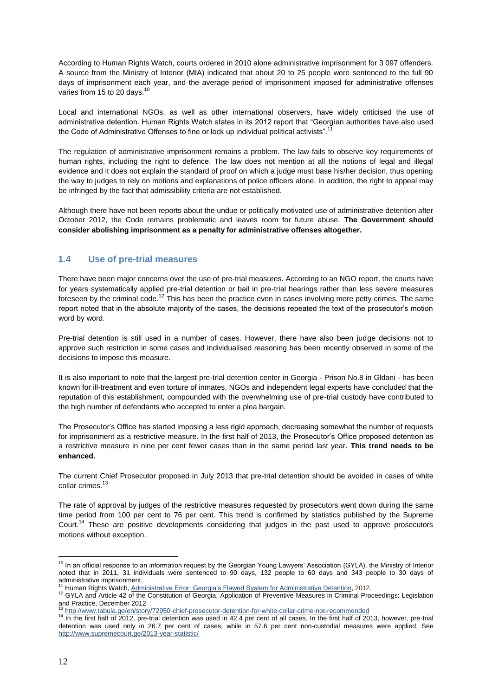According to Human Rights Watch, courts ordered in 2010 alone administrative imprisonment for 3 097 offenders. A source from the Ministry of Interior (MIA) indicated that about 20 to 25 people were sentenced to the full 90 days of imprisonment each year, and the average period of imprisonment imposed for administrative offenses varies from 15 to 20 days.<sup>10</sup>

Local and international NGOs, as well as other international observers, have widely criticised the use of administrative detention. Human Rights Watch states in its 2012 report that "Georgian authorities have also used the Code of Administrative Offenses to fine or lock up individual political activists".<sup>11</sup>

The regulation of administrative imprisonment remains a problem. The law fails to observe key requirements of human rights, including the right to defence. The law does not mention at all the notions of legal and illegal evidence and it does not explain the standard of proof on which a judge must base his/her decision, thus opening the way to judges to rely on motions and explanations of police officers alone. In addition, the right to appeal may be infringed by the fact that admissibility criteria are not established.

Although there have not been reports about the undue or politically motivated use of administrative detention after October 2012, the Code remains problematic and leaves room for future abuse. **The Government should consider abolishing imprisonment as a penalty for administrative offenses altogether.** 

#### **1.4 Use of pre-trial measures**

There have been major concerns over the use of pre-trial measures. According to an NGO report, the courts have for years systematically applied pre-trial detention or bail in pre-trial hearings rather than less severe measures foreseen by the criminal code.<sup>12</sup> This has been the practice even in cases involving mere petty crimes. The same report noted that in the absolute majority of the cases, the decisions repeated the text of the prosecutor's motion word by word.

Pre-trial detention is still used in a number of cases. However, there have also been judge decisions not to approve such restriction in some cases and individualised reasoning has been recently observed in some of the decisions to impose this measure.

It is also important to note that the largest pre-trial detention center in Georgia - Prison No.8 in Gldani - has been known for ill-treatment and even torture of inmates. NGOs and independent legal experts have concluded that the reputation of this establishment, compounded with the overwhelming use of pre-trial custody have contributed to the high number of defendants who accepted to enter a plea bargain.

The Prosecutor's Office has started imposing a less rigid approach, decreasing somewhat the number of requests for imprisonment as a restrictive measure. In the first half of 2013, the Prosecutor's Office proposed detention as a restrictive measure in nine per cent fewer cases than in the same period last year. **This trend needs to be enhanced.** 

The current Chief Prosecutor proposed in July 2013 that pre-trial detention should be avoided in cases of white collar crimes.<sup>13</sup>

The rate of approval by judges of the restrictive measures requested by prosecutors went down during the same time period from 100 per cent to 76 per cent. This trend is confirmed by statistics published by the Supreme Court.<sup>14</sup> These are positive developments considering that judges in the past used to approve prosecutors motions without exception.

 $\overline{a}$ <sup>10</sup> In an official response to an information request by the Georgian Young Lawyers' Association (GYLA), the Ministry of Interior noted that in 2011, 31 individuals were sentenced to 90 days, 132 people to 60 days and 343 people to 30 days of administrative imprisonment.

Human Rights Watch[, Administrative Error: Georgia's Flawed System for Administrative Detention,](http://www.hrw.org/sites/default/files/reports/georgia0112forupload.pdf) 2012.

<sup>&</sup>lt;sup>12</sup> GYLA and Article 42 of the Constitution of Georgia, Application of Preventive Measures in Criminal Proceedings: Legislation [and Practice,](http://www.coalition.org.ge/en/article132/presentation_of_a_study_conducted_by_the_coalition_for_an_independent_and_transparent_judiciary) December 2012.

<sup>13</sup> <http://www.tabula.ge/en/story/72950-chief-prosecutor-detention-for-white-collar-crime-not-recommended>

<sup>&</sup>lt;sup>14</sup> In the first half of 2012, pre-trial detention was used in 42.4 per cent of all cases. In the first half of 2013, however, pre-trial detention was used only in 26.7 per cent of cases, while in 57.6 per cent non-custodial measures were applied. See <http://www.supremecourt.ge/2013-year-statistic/>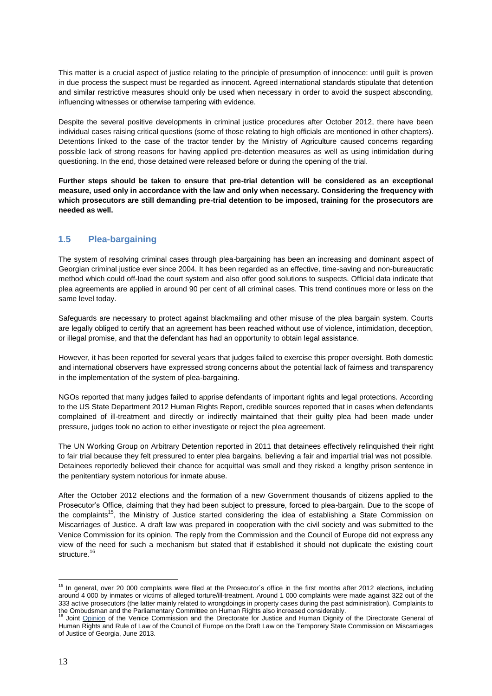This matter is a crucial aspect of justice relating to the principle of presumption of innocence: until guilt is proven in due process the suspect must be regarded as innocent. Agreed international standards stipulate that detention and similar restrictive measures should only be used when necessary in order to avoid the suspect absconding, influencing witnesses or otherwise tampering with evidence.

Despite the several positive developments in criminal justice procedures after October 2012, there have been individual cases raising critical questions (some of those relating to high officials are mentioned in other chapters). Detentions linked to the case of the tractor tender by the Ministry of Agriculture caused concerns regarding possible lack of strong reasons for having applied pre-detention measures as well as using intimidation during questioning. In the end, those detained were released before or during the opening of the trial.

**Further steps should be taken to ensure that pre-trial detention will be considered as an exceptional measure, used only in accordance with the law and only when necessary. Considering the frequency with which prosecutors are still demanding pre-trial detention to be imposed, training for the prosecutors are needed as well.**

#### **1.5 Plea-bargaining**

The system of resolving criminal cases through plea-bargaining has been an increasing and dominant aspect of Georgian criminal justice ever since 2004. It has been regarded as an effective, time-saving and non-bureaucratic method which could off-load the court system and also offer good solutions to suspects. Official data indicate that plea agreements are applied in around 90 per cent of all criminal cases. This trend continues more or less on the same level today.

Safeguards are necessary to protect against blackmailing and other misuse of the plea bargain system. Courts are legally obliged to certify that an agreement has been reached without use of violence, intimidation, deception, or illegal promise, and that the defendant has had an opportunity to obtain legal assistance.

However, it has been reported for several years that judges failed to exercise this proper oversight. Both domestic and international observers have expressed strong concerns about the potential lack of fairness and transparency in the implementation of the system of plea-bargaining.

NGOs reported that many judges failed to apprise defendants of important rights and legal protections. According to the US State Department 2012 Human Rights Report, credible sources reported that in cases when defendants complained of ill-treatment and directly or indirectly maintained that their guilty plea had been made under pressure, judges took no action to either investigate or reject the plea agreement.

The UN Working Group on Arbitrary Detention reported in 2011 that detainees effectively relinquished their right to fair trial because they felt pressured to enter plea bargains, believing a fair and impartial trial was not possible. Detainees reportedly believed their chance for acquittal was small and they risked a lengthy prison sentence in the penitentiary system notorious for inmate abuse.

After the October 2012 elections and the formation of a new Government thousands of citizens applied to the Prosecutor's Office, claiming that they had been subject to pressure, forced to plea-bargain. Due to the scope of the complaints<sup>15</sup>, the Ministry of Justice started considering the idea of establishing a State Commission on Miscarriages of Justice. A draft law was prepared in cooperation with the civil society and was submitted to the Venice Commission for its opinion. The reply from the Commission and the Council of Europe did not express any view of the need for such a mechanism but stated that if established it should not duplicate the existing court structure.<sup>16</sup>

<sup>&</sup>lt;sup>15</sup> In general, over 20 000 complaints were filed at the Prosecutor's office in the first months after 2012 elections, including around 4 000 by inmates or victims of alleged torture/ill-treatment. Around 1 000 complaints were made against 322 out of the 333 active prosecutors (the latter mainly related to wrongdoings in property cases during the past administration). Complaints to the Ombudsman and the Parliamentary Committee on Human Rights also increased considerably.

Joint [Opinion](https://wcd.coe.int/viewdoc.jsp?id=1809789) of the Venice Commission and the Directorate for Justice and Human Dignity of the Directorate General of Human Rights and Rule of Law of the Council of Europe on the Draft Law on the Temporary State Commission on Miscarriages of Justice of Georgia, June 2013.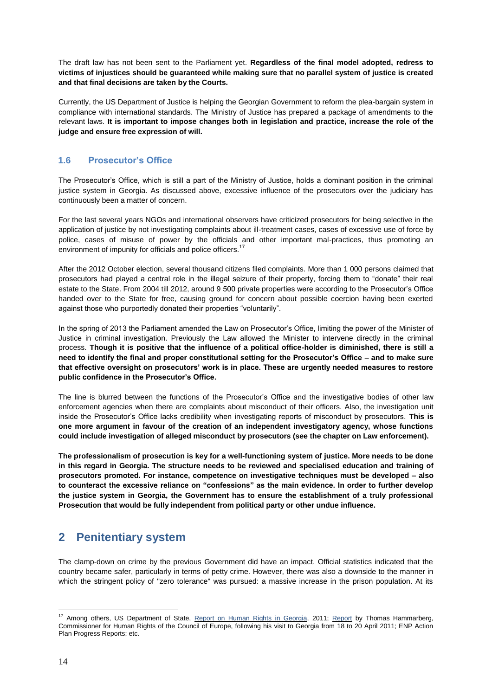The draft law has not been sent to the Parliament yet. **Regardless of the final model adopted, redress to victims of injustices should be guaranteed while making sure that no parallel system of justice is created and that final decisions are taken by the Courts.**

Currently, the US Department of Justice is helping the Georgian Government to reform the plea-bargain system in compliance with international standards. The Ministry of Justice has prepared a package of amendments to the relevant laws. **It is important to impose changes both in legislation and practice, increase the role of the judge and ensure free expression of will.**

#### **1.6 Prosecutor's Office**

The Prosecutor's Office, which is still a part of the Ministry of Justice, holds a dominant position in the criminal justice system in Georgia. As discussed above, excessive influence of the prosecutors over the judiciary has continuously been a matter of concern.

For the last several years NGOs and international observers have criticized prosecutors for being selective in the application of justice by not investigating complaints about ill-treatment cases, cases of excessive use of force by police, cases of misuse of power by the officials and other important mal-practices, thus promoting an environment of impunity for officials and police officers.<sup>17</sup>

After the 2012 October election, several thousand citizens filed complaints. More than 1 000 persons claimed that prosecutors had played a central role in the illegal seizure of their property, forcing them to "donate" their real estate to the State. From 2004 till 2012, around 9 500 private properties were according to the Prosecutor's Office handed over to the State for free, causing ground for concern about possible coercion having been exerted against those who purportedly donated their properties "voluntarily".

In the spring of 2013 the Parliament amended the Law on Prosecutor's Office, limiting the power of the Minister of Justice in criminal investigation. Previously the Law allowed the Minister to intervene directly in the criminal process. **Though it is positive that the influence of a political office-holder is diminished, there is still a need to identify the final and proper constitutional setting for the Prosecutor's Office – and to make sure that effective oversight on prosecutors' work is in place. These are urgently needed measures to restore public confidence in the Prosecutor's Office.**

The line is blurred between the functions of the Prosecutor's Office and the investigative bodies of other law enforcement agencies when there are complaints about misconduct of their officers. Also, the investigation unit inside the Prosecutor's Office lacks credibility when investigating reports of misconduct by prosecutors. **This is one more argument in favour of the creation of an independent investigatory agency, whose functions could include investigation of alleged misconduct by prosecutors (see the chapter on Law enforcement).**

**The professionalism of prosecution is key for a well-functioning system of justice. More needs to be done in this regard in Georgia. The structure needs to be reviewed and specialised education and training of prosecutors promoted. For instance, competence on investigative techniques must be developed – also to counteract the excessive reliance on "confessions" as the main evidence. In order to further develop the justice system in Georgia, the Government has to ensure the establishment of a truly professional Prosecution that would be fully independent from political party or other undue influence.**

# **2 Penitentiary system**

The clamp-down on crime by the previous Government did have an impact. Official statistics indicated that the country became safer, particularly in terms of petty crime. However, there was also a downside to the manner in which the stringent policy of "zero tolerance" was pursued: a massive increase in the prison population. At its

 $\overline{a}$ <sup>17</sup> Among others, US Department of State, [Report on Human Rights in Georgia,](http://www.state.gov/documents/organization/186565.pdf) 2011; [Report](https://wcd.coe.int/viewdoc.jsp?id=1809789) by Thomas Hammarberg, Commissioner for Human Rights of the Council of Europe, following his visit to Georgia from 18 to 20 April 2011; ENP Action Plan Progress Reports; etc.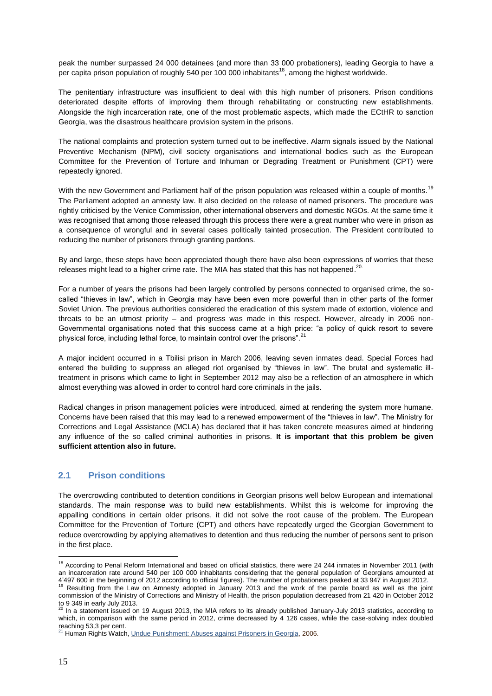peak the number surpassed 24 000 detainees (and more than 33 000 probationers), leading Georgia to have a per capita prison population of roughly 540 per 100 000 inhabitants<sup>18</sup>, among the highest worldwide.

The penitentiary infrastructure was insufficient to deal with this high number of prisoners. Prison conditions deteriorated despite efforts of improving them through rehabilitating or constructing new establishments. Alongside the high incarceration rate, one of the most problematic aspects, which made the ECtHR to sanction Georgia, was the disastrous healthcare provision system in the prisons.

The national complaints and protection system turned out to be ineffective. Alarm signals issued by the National Preventive Mechanism (NPM), civil society organisations and international bodies such as the European Committee for the Prevention of Torture and Inhuman or Degrading Treatment or Punishment (CPT) were repeatedly ignored.

With the new Government and Parliament half of the prison population was released within a couple of months.<sup>19</sup> The Parliament adopted an amnesty law. It also decided on the release of named prisoners. The procedure was rightly criticised by the Venice Commission, other international observers and domestic NGOs. At the same time it was recognised that among those released through this process there were a great number who were in prison as a consequence of wrongful and in several cases politically tainted prosecution. The President contributed to reducing the number of prisoners through granting pardons.

By and large, these steps have been appreciated though there have also been expressions of worries that these releases might lead to a higher crime rate. The MIA has stated that this has not happened.<sup>20.</sup>

For a number of years the prisons had been largely controlled by persons connected to organised crime, the socalled "thieves in law", which in Georgia may have been even more powerful than in other parts of the former Soviet Union. The previous authorities considered the eradication of this system made of extortion, violence and threats to be an utmost priority – and progress was made in this respect. However, already in 2006 non-Governmental organisations noted that this success came at a high price: "a policy of quick resort to severe physical force, including lethal force, to maintain control over the prisons".<sup>21</sup>

A major incident occurred in a Tbilisi prison in March 2006, leaving seven inmates dead. Special Forces had entered the building to suppress an alleged riot organised by "thieves in law". The brutal and systematic illtreatment in prisons which came to light in September 2012 may also be a reflection of an atmosphere in which almost everything was allowed in order to control hard core criminals in the jails.

Radical changes in prison management policies were introduced, aimed at rendering the system more humane. Concerns have been raised that this may lead to a renewed empowerment of the "thieves in law". The Ministry for Corrections and Legal Assistance (MCLA) has declared that it has taken concrete measures aimed at hindering any influence of the so called criminal authorities in prisons. **It is important that this problem be given sufficient attention also in future.**

#### **2.1 Prison conditions**

The overcrowding contributed to detention conditions in Georgian prisons well below European and international standards. The main response was to build new establishments. Whilst this is welcome for improving the appalling conditions in certain older prisons, it did not solve the root cause of the problem. The European Committee for the Prevention of Torture (CPT) and others have repeatedly urged the Georgian Government to reduce overcrowding by applying alternatives to detention and thus reducing the number of persons sent to prison in the first place.

 $\overline{a}$ <sup>18</sup> According to Penal Reform International and based on official statistics, there were 24 244 inmates in November 2011 (with an incarceration rate around 540 per 100 000 inhabitants considering that the general population of Georgians amounted at

<sup>4&#</sup>x27;497 600 in the beginning of 2012 according to official figures). The number of probationers peaked at 33 947 in August 2012.<br><sup>19</sup> Resulting from the Law on Amnesty adopted in January 2013 and the work of the parole board commission of the Ministry of Corrections and Ministry of Health, the prison population decreased from 21 420 in October 2012

to 9 349 in early July 2013.<br><sup>20</sup> In a [statement](http://police.ge/en/shinagan-saqmeta-saministeros-gantskhadeba/5380) issued on 19 August 2013, the MIA refers to its already published January-July 2013 statistics, according to which, in comparison with the same period in 2012, crime decreased by 4 126 cases, while the case-solving index doubled reaching 53,3 per cent.

 $21$  Human Rights Watch[, Undue Punishment: Abuses against Prisoners in Georgia,](http://www.hrw.org/reports/2006/09/13/undue-punishment) 2006.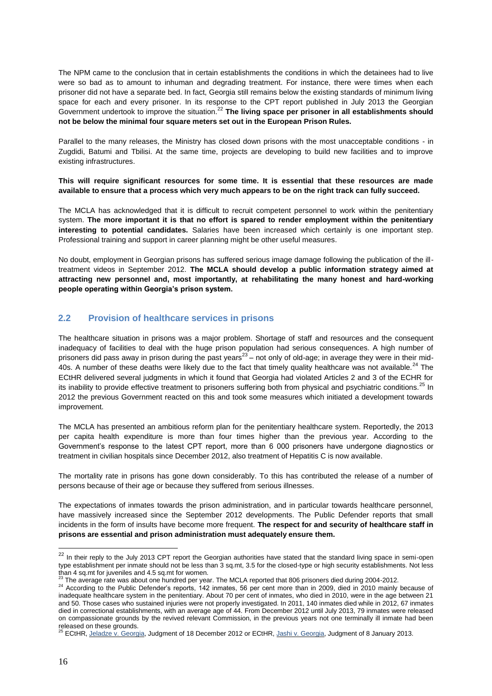The NPM came to the conclusion that in certain establishments the conditions in which the detainees had to live were so bad as to amount to inhuman and degrading treatment. For instance, there were times when each prisoner did not have a separate bed. In fact, Georgia still remains below the existing standards of minimum living space for each and every prisoner. In its response to the CPT report published in July 2013 the Georgian Government undertook to improve the situation.<sup>22</sup> The living space per prisoner in all establishments should **not be below the minimal four square meters set out in the European Prison Rules.**

Parallel to the many releases, the Ministry has closed down prisons with the most unacceptable conditions - in Zugdidi, Batumi and Tbilisi. At the same time, projects are developing to build new facilities and to improve existing infrastructures.

**This will require significant resources for some time. It is essential that these resources are made available to ensure that a process which very much appears to be on the right track can fully succeed.** 

The MCLA has acknowledged that it is difficult to recruit competent personnel to work within the penitentiary system. **The more important it is that no effort is spared to render employment within the penitentiary interesting to potential candidates.** Salaries have been increased which certainly is one important step. Professional training and support in career planning might be other useful measures.

No doubt, employment in Georgian prisons has suffered serious image damage following the publication of the illtreatment videos in September 2012. **The MCLA should develop a public information strategy aimed at attracting new personnel and, most importantly, at rehabilitating the many honest and hard-working people operating within Georgia's prison system.**

#### **2.2 Provision of healthcare services in prisons**

The healthcare situation in prisons was a major problem. Shortage of staff and resources and the consequent inadequacy of facilities to deal with the huge prison population had serious consequences. A high number of prisoners did pass away in prison during the past years $^{23}$  – not only of old-age; in average they were in their mid-40s. A number of these deaths were likely due to the fact that timely quality healthcare was not available.<sup>24</sup> The ECtHR delivered several judgments in which it found that Georgia had violated Articles 2 and 3 of the ECHR for its inability to provide effective treatment to prisoners suffering both from physical and psychiatric conditions.<sup>25</sup> In 2012 the previous Government reacted on this and took some measures which initiated a development towards improvement.

The MCLA has presented an ambitious reform plan for the penitentiary healthcare system. Reportedly, the 2013 per capita health expenditure is more than four times higher than the previous year. According to the Government's response to the latest CPT report, more than 6 000 prisoners have undergone diagnostics or treatment in civilian hospitals since December 2012, also treatment of Hepatitis C is now available.

The mortality rate in prisons has gone down considerably. To this has contributed the release of a number of persons because of their age or because they suffered from serious illnesses.

The expectations of inmates towards the prison administration, and in particular towards healthcare personnel, have massively increased since the September 2012 developments. The Public Defender reports that small incidents in the form of insults have become more frequent. **The respect for and security of healthcare staff in prisons are essential and prison administration must adequately ensure them.**

<sup>&</sup>lt;sup>22</sup> In their reply to the July 2013 CPT report the Georgian authorities have stated that the standard living space in semi-open type establishment per inmate should not be less than 3 sq.mt, 3.5 for the closed-type or high security establishments. Not less than 4 sq.mt for juveniles and 4.5 sq.mt for women.

 $^{23}$  The average rate was about one hundred per year. The MCLA reported that 806 prisoners died during 2004-2012.

 $^{24}$  According to the Public Defender's reports, 142 inmates, 56 per cent more than in 2009, died in 2010 mainly because of inadequate healthcare system in the penitentiary. About 70 per cent of inmates, who died in 2010, were in the age between 21 and 50. Those cases who sustained injuries were not properly investigated. In 2011, 140 inmates died while in 2012, 67 inmates died in correctional establishments, with an average age of 44. From December 2012 until July 2013, 79 inmates were released on compassionate grounds by the revived relevant Commission, in the previous years not one terminally ill inmate had been released on these grounds.

<sup>&</sup>lt;sup>25</sup> ECtHR, [Jeladze v. Georgia,](http://hudoc.echr.coe.int/sites/fra/pages/search.aspx?i=001-115313) Judgment of 18 December 2012 or ECtHR[, Jashi v. Georgia,](http://hudoc.echr.coe.int/sites/eng/pages/search.aspx?i=001-115850) Judgment of 8 January 2013.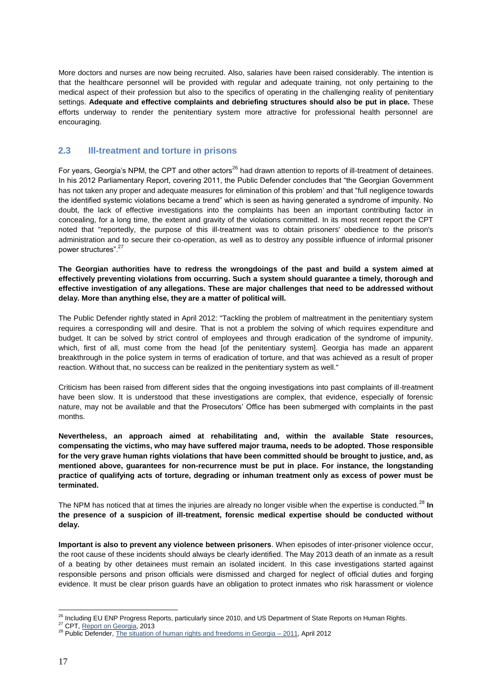More doctors and nurses are now being recruited. Also, salaries have been raised considerably. The intention is that the healthcare personnel will be provided with regular and adequate training, not only pertaining to the medical aspect of their profession but also to the specifics of operating in the challenging reality of penitentiary settings. **Adequate and effective complaints and debriefing structures should also be put in place.** These efforts underway to render the penitentiary system more attractive for professional health personnel are encouraging.

#### **2.3 Ill-treatment and torture in prisons**

For years, Georgia's NPM, the CPT and other actors<sup>26</sup> had drawn attention to reports of ill-treatment of detainees. In his 2012 Parliamentary Report, covering 2011, the Public Defender concludes that "the Georgian Government has not taken any proper and adequate measures for elimination of this problem' and that "full negligence towards the identified systemic violations became a trend" which is seen as having generated a syndrome of impunity. No doubt, the lack of effective investigations into the complaints has been an important contributing factor in concealing, for a long time, the extent and gravity of the violations committed. In its most recent report the CPT noted that "reportedly, the purpose of this ill-treatment was to obtain prisoners' obedience to the prison's administration and to secure their co-operation, as well as to destroy any possible influence of informal prisoner power structures".<sup>27</sup>

**The Georgian authorities have to redress the wrongdoings of the past and build a system aimed at effectively preventing violations from occurring. Such a system should guarantee a timely, thorough and effective investigation of any allegations. These are major challenges that need to be addressed without delay. More than anything else, they are a matter of political will.** 

The Public Defender rightly stated in April 2012: "Tackling the problem of maltreatment in the penitentiary system requires a corresponding will and desire. That is not a problem the solving of which requires expenditure and budget. It can be solved by strict control of employees and through eradication of the syndrome of impunity, which, first of all, must come from the head [of the penitentiary system]. Georgia has made an apparent breakthrough in the police system in terms of eradication of torture, and that was achieved as a result of proper reaction. Without that, no success can be realized in the penitentiary system as well."

Criticism has been raised from different sides that the ongoing investigations into past complaints of ill-treatment have been slow. It is understood that these investigations are complex, that evidence, especially of forensic nature, may not be available and that the Prosecutors' Office has been submerged with complaints in the past months.

**Nevertheless, an approach aimed at rehabilitating and, within the available State resources, compensating the victims, who may have suffered major trauma, needs to be adopted. Those responsible for the very grave human rights violations that have been committed should be brought to justice, and, as mentioned above, guarantees for non-recurrence must be put in place. For instance, the longstanding practice of qualifying acts of torture, degrading or inhuman treatment only as excess of power must be terminated.** 

The NPM has noticed that at times the injuries are already no longer visible when the expertise is conducted.<sup>28</sup> In **the presence of a suspicion of ill-treatment, forensic medical expertise should be conducted without delay.** 

**Important is also to prevent any violence between prisoners**. When episodes of inter-prisoner violence occur, the root cause of these incidents should always be clearly identified. The May 2013 death of an inmate as a result of a beating by other detainees must remain an isolated incident. In this case investigations started against responsible persons and prison officials were dismissed and charged for neglect of official duties and forging evidence. It must be clear prison guards have an obligation to protect inmates who risk harassment or violence

 $\overline{a}$ <sup>26</sup> Including EU ENP Progress Reports, particularly since 2010, and US Department of State Reports on Human Rights.

<sup>&</sup>lt;sup>27</sup> CPT, [Report on Georgia,](https://wcd.coe.int/viewdoc.jsp?id=1809789) 2013

<sup>&</sup>lt;sup>28</sup> Public Defender, [The situation of human rights and freedoms in Georgia –](http://ombudsman.ge/files/downloads/en/hcqkqyhblwldxcayqiwg.pdf) 2011, April 2012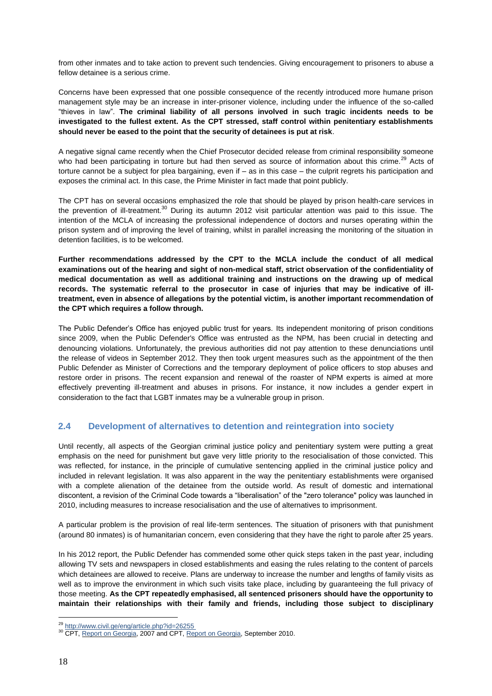from other inmates and to take action to prevent such tendencies. Giving encouragement to prisoners to abuse a fellow detainee is a serious crime.

Concerns have been expressed that one possible consequence of the recently introduced more humane prison management style may be an increase in inter-prisoner violence, including under the influence of the so-called "thieves in law". **The criminal liability of all persons involved in such tragic incidents needs to be investigated to the fullest extent. As the CPT stressed, staff control within penitentiary establishments should never be eased to the point that the security of detainees is put at risk**.

A negative signal came recently when the Chief Prosecutor decided release from criminal responsibility someone who had been participating in torture but had then served as source of information about this crime.<sup>29</sup> Acts of torture cannot be a subject for plea bargaining, even if – as in this case – the culprit regrets his participation and exposes the criminal act. In this case, the Prime Minister in fact made that point publicly.

The CPT has on several occasions emphasized the role that should be played by prison health-care services in the prevention of ill-treatment.<sup>30</sup> During its autumn 2012 visit particular attention was paid to this issue. The intention of the MCLA of increasing the professional independence of doctors and nurses operating within the prison system and of improving the level of training, whilst in parallel increasing the monitoring of the situation in detention facilities, is to be welcomed.

**Further recommendations addressed by the CPT to the MCLA include the conduct of all medical examinations out of the hearing and sight of non-medical staff, strict observation of the confidentiality of medical documentation as well as additional training and instructions on the drawing up of medical records. The systematic referral to the prosecutor in case of injuries that may be indicative of illtreatment, even in absence of allegations by the potential victim, is another important recommendation of the CPT which requires a follow through.**

The Public Defender's Office has enjoyed public trust for years. Its independent monitoring of prison conditions since 2009, when the Public Defender's Office was entrusted as the NPM, has been crucial in detecting and denouncing violations. Unfortunately, the previous authorities did not pay attention to these denunciations until the release of videos in September 2012. They then took urgent measures such as the appointment of the then Public Defender as Minister of Corrections and the temporary deployment of police officers to stop abuses and restore order in prisons. The recent expansion and renewal of the roaster of NPM experts is aimed at more effectively preventing ill-treatment and abuses in prisons. For instance, it now includes a gender expert in consideration to the fact that LGBT inmates may be a vulnerable group in prison.

#### **2.4 Development of alternatives to detention and reintegration into society**

Until recently, all aspects of the Georgian criminal justice policy and penitentiary system were putting a great emphasis on the need for punishment but gave very little priority to the resocialisation of those convicted. This was reflected, for instance, in the principle of cumulative sentencing applied in the criminal justice policy and included in relevant legislation. It was also apparent in the way the penitentiary establishments were organised with a complete alienation of the detainee from the outside world. As result of domestic and international discontent, a revision of the Criminal Code towards a "liberalisation" of the "zero tolerance" policy was launched in 2010, including measures to increase resocialisation and the use of alternatives to imprisonment.

A particular problem is the provision of real life-term sentences. The situation of prisoners with that punishment (around 80 inmates) is of humanitarian concern, even considering that they have the right to parole after 25 years.

In his 2012 report, the Public Defender has commended some other quick steps taken in the past year, including allowing TV sets and newspapers in closed establishments and easing the rules relating to the content of parcels which detainees are allowed to receive. Plans are underway to increase the number and lengths of family visits as well as to improve the environment in which such visits take place, including by guaranteeing the full privacy of those meeting. **As the CPT repeatedly emphasised, all sentenced prisoners should have the opportunity to maintain their relationships with their family and friends, including those subject to disciplinary** 

 $\overline{a}$ <sup>29</sup> http://www.civil.ge/eng/article.php?id=26255

<sup>&</sup>lt;sup>30</sup> CPT, [Report on Georgia,](http://www.cpt.coe.int/documents/geo/2007-42-inf-eng.htm) 2007 and CPT[, Report on Georgia,](http://www.cpt.coe.int/documents/geo/2010-27-inf-eng.htm) September 2010.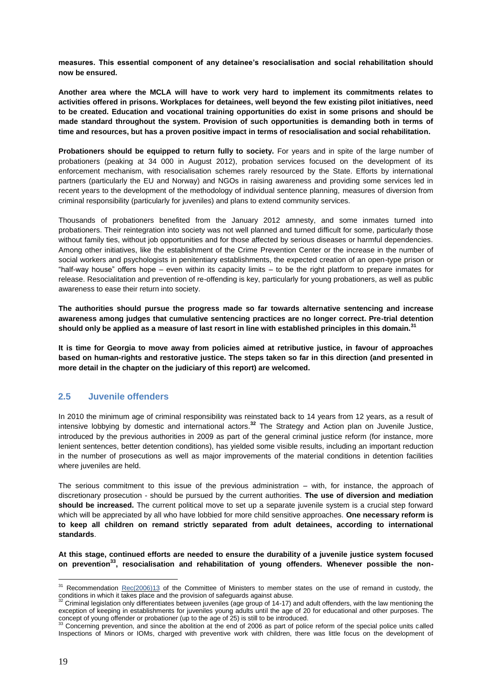**measures. This essential component of any detainee's resocialisation and social rehabilitation should now be ensured.** 

**Another area where the MCLA will have to work very hard to implement its commitments relates to activities offered in prisons. Workplaces for detainees, well beyond the few existing pilot initiatives, need to be created. Education and vocational training opportunities do exist in some prisons and should be made standard throughout the system. Provision of such opportunities is demanding both in terms of time and resources, but has a proven positive impact in terms of resocialisation and social rehabilitation.** 

**Probationers should be equipped to return fully to society.** For years and in spite of the large number of probationers (peaking at 34 000 in August 2012), probation services focused on the development of its enforcement mechanism, with resocialisation schemes rarely resourced by the State. Efforts by international partners (particularly the EU and Norway) and NGOs in raising awareness and providing some services led in recent years to the development of the methodology of individual sentence planning, measures of diversion from criminal responsibility (particularly for juveniles) and plans to extend community services.

Thousands of probationers benefited from the January 2012 amnesty, and some inmates turned into probationers. Their reintegration into society was not well planned and turned difficult for some, particularly those without family ties, without job opportunities and for those affected by serious diseases or harmful dependencies. Among other initiatives, like the establishment of the Crime Prevention Center or the increase in the number of social workers and psychologists in penitentiary establishments, the expected creation of an open-type prison or "half-way house" offers hope – even within its capacity limits – to be the right platform to prepare inmates for release. Resocialitation and prevention of re-offending is key, particularly for young probationers, as well as public awareness to ease their return into society.

**The authorities should pursue the progress made so far towards alternative sentencing and increase awareness among judges that cumulative sentencing practices are no longer correct. Pre-trial detention should only be applied as a measure of last resort in line with established principles in this domain.<sup>31</sup>**

**It is time for Georgia to move away from policies aimed at retributive justice, in favour of approaches based on human-rights and restorative justice. The steps taken so far in this direction (and presented in more detail in the chapter on the judiciary of this report) are welcomed.**

#### **2.5 Juvenile offenders**

In 2010 the minimum age of criminal responsibility was reinstated back to 14 years from 12 years, as a result of intensive lobbying by domestic and international actors.**<sup>32</sup>** The Strategy and Action plan on Juvenile Justice, introduced by the previous authorities in 2009 as part of the general criminal justice reform (for instance, more lenient sentences, better detention conditions), has yielded some visible results, including an important reduction in the number of prosecutions as well as major improvements of the material conditions in detention facilities where juveniles are held.

The serious commitment to this issue of the previous administration – with, for instance, the approach of discretionary prosecution - should be pursued by the current authorities. **The use of diversion and mediation should be increased.** The current political move to set up a separate juvenile system is a crucial step forward which will be appreciated by all who have lobbied for more child sensitive approaches. **One necessary reform is to keep all children on remand strictly separated from adult detainees, according to international standards**.

**At this stage, continued efforts are needed to ensure the durability of a juvenile justice system focused on prevention<sup>33</sup>, resocialisation and rehabilitation of young offenders. Whenever possible the non-**

 $31$  Recommendation  $Rec(2006)13$  of the Committee of Ministers to member states on the use of remand in custody, the conditions in which it takes place and the provision of safeguards against abuse.

<sup>32</sup> Criminal legislation only differentiates between juveniles (age group of 14-17) and adult offenders, with the law mentioning the exception of keeping in establishments for juveniles young adults until the age of 20 for educational and other purposes. The

concept of young offender or probationer (up to the age of 25) is still to be introduced.<br><sup>33</sup> Concerning prevention, and since the abolition at the end of 2006 as part of police reform of the special police units called Inspections of Minors or IOMs, charged with preventive work with children, there was little focus on the development of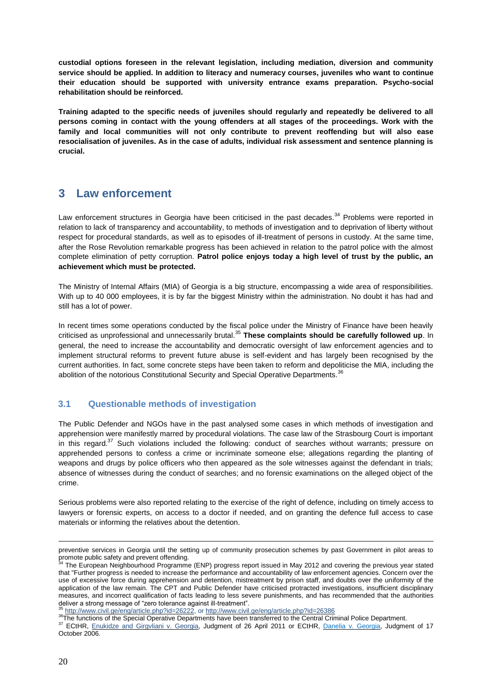**custodial options foreseen in the relevant legislation, including mediation, diversion and community service should be applied. In addition to literacy and numeracy courses, juveniles who want to continue their education should be supported with university entrance exams preparation. Psycho-social rehabilitation should be reinforced.** 

**Training adapted to the specific needs of juveniles should regularly and repeatedly be delivered to all persons coming in contact with the young offenders at all stages of the proceedings. Work with the family and local communities will not only contribute to prevent reoffending but will also ease resocialisation of juveniles. As in the case of adults, individual risk assessment and sentence planning is crucial.**

### **3 Law enforcement**

Law enforcement structures in Georgia have been criticised in the past decades.<sup>34</sup> Problems were reported in relation to lack of transparency and accountability, to methods of investigation and to deprivation of liberty without respect for procedural standards, as well as to episodes of ill-treatment of persons in custody. At the same time, after the Rose Revolution remarkable progress has been achieved in relation to the patrol police with the almost complete elimination of petty corruption. **Patrol police enjoys today a high level of trust by the public, an achievement which must be protected.** 

The Ministry of Internal Affairs (MIA) of Georgia is a big structure, encompassing a wide area of responsibilities. With up to 40 000 employees, it is by far the biggest Ministry within the administration. No doubt it has had and still has a lot of power.

In recent times some operations conducted by the fiscal police under the Ministry of Finance have been heavily criticised as unprofessional and unnecessarily brutal.<sup>35</sup> **These complaints should be carefully followed up**. In general, the need to increase the accountability and democratic oversight of law enforcement agencies and to implement structural reforms to prevent future abuse is self-evident and has largely been recognised by the current authorities. In fact, some concrete steps have been taken to reform and depoliticise the MIA, including the abolition of the notorious Constitutional Security and Special Operative Departments.<sup>36</sup>

#### **3.1 Questionable methods of investigation**

The Public Defender and NGOs have in the past analysed some cases in which methods of investigation and apprehension were manifestly marred by procedural violations. The case law of the Strasbourg Court is important in this regard. $37$  Such violations included the following: conduct of searches without warrants; pressure on apprehended persons to confess a crime or incriminate someone else; allegations regarding the planting of weapons and drugs by police officers who then appeared as the sole witnesses against the defendant in trials; absence of witnesses during the conduct of searches; and no forensic examinations on the alleged object of the crime.

Serious problems were also reported relating to the exercise of the right of defence, including on timely access to lawyers or forensic experts, on access to a doctor if needed, and on granting the defence full access to case materials or informing the relatives about the detention.

<sup>35</sup> [http://www.civil.ge/eng/article.php?id=26222,](http://www.civil.ge/eng/article.php?id=26222) o[r http://www.civil.ge/eng/article.php?id=26386](http://www.civil.ge/eng/article.php?id=26386)

<u>.</u>

preventive services in Georgia until the setting up of community prosecution schemes by past Government in pilot areas to promote public safety and prevent offending.

The European Neighbourhood Programme (ENP) progress report issued in May 2012 and covering the previous year stated that "Further progress is needed to increase the performance and accountability of law enforcement agencies. Concern over the use of excessive force during apprehension and detention, mistreatment by prison staff, and doubts over the uniformity of the application of the law remain. The CPT and Public Defender have criticised protracted investigations, insufficient disciplinary measures, and incorrect qualification of facts leading to less severe punishments, and has recommended that the authorities deliver a strong message of "zero tolerance against ill-treatment".

<sup>36</sup>The functions of the Special Operative Departments have been transferred to the Central Criminal Police Department. <sup>37</sup> ECtHR, [Enukidze and Girgvliani v. Georgia,](http://echr.ketse.com/doc/25091.07-en-20110426/view/) Judgment of 26 April 2011 or ECtHR, [Danelia v. Georgia,](http://hudoc.echr.coe.int/sites/eng-press/pages/search.aspx?i=003-1811056-1909455#{"itemid":["003-1811056-1909455"]}) Judgment of 17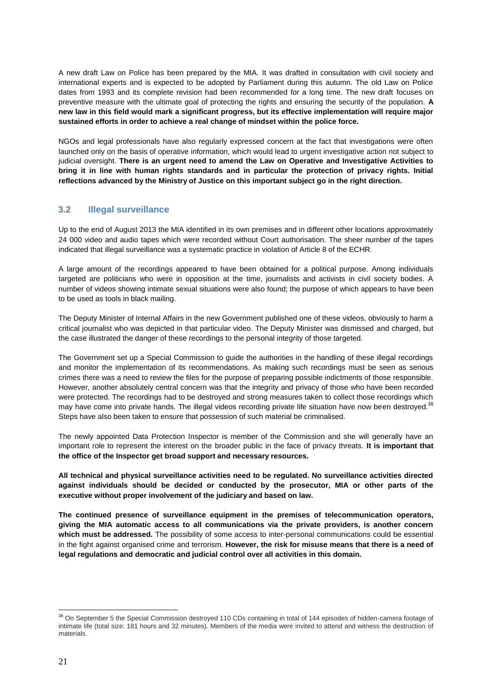A new draft Law on Police has been prepared by the MIA. It was drafted in consultation with civil society and international experts and is expected to be adopted by Parliament during this autumn. The old Law on Police dates from 1993 and its complete revision had been recommended for a long time. The new draft focuses on preventive measure with the ultimate goal of protecting the rights and ensuring the security of the population. **A new law in this field would mark a significant progress, but its effective implementation will require major sustained efforts in order to achieve a real change of mindset within the police force.** 

NGOs and legal professionals have also regularly expressed concern at the fact that investigations were often launched only on the basis of operative information, which would lead to urgent investigative action not subject to judicial oversight. **There is an urgent need to amend the Law on Operative and Investigative Activities to bring it in line with human rights standards and in particular the protection of privacy rights. Initial reflections advanced by the Ministry of Justice on this important subject go in the right direction.**

#### **3.2 Illegal surveillance**

Up to the end of August 2013 the MIA identified in its own premises and in different other locations approximately 24 000 video and audio tapes which were recorded without Court authorisation. The sheer number of the tapes indicated that illegal surveillance was a systematic practice in violation of Article 8 of the ECHR.

A large amount of the recordings appeared to have been obtained for a political purpose. Among individuals targeted are politicians who were in opposition at the time, journalists and activists in civil society bodies. A number of videos showing intimate sexual situations were also found; the purpose of which appears to have been to be used as tools in black mailing.

The Deputy Minister of Internal Affairs in the new Government published one of these videos, obviously to harm a critical journalist who was depicted in that particular video. The Deputy Minister was dismissed and charged, but the case illustrated the danger of these recordings to the personal integrity of those targeted.

The Government set up a Special Commission to guide the authorities in the handling of these illegal recordings and monitor the implementation of its recommendations. As making such recordings must be seen as serious crimes there was a need to review the files for the purpose of preparing possible indictments of those responsible. However, another absolutely central concern was that the integrity and privacy of those who have been recorded were protected. The recordings had to be destroyed and strong measures taken to collect those recordings which may have come into private hands. The illegal videos recording private life situation have now been destroyed.<sup>38</sup> Steps have also been taken to ensure that possession of such material be criminalised.

The newly appointed Data Protection Inspector is member of the Commission and she will generally have an important role to represent the interest on the broader public in the face of privacy threats. **It is important that the office of the Inspector get broad support and necessary resources.**

**All technical and physical surveillance activities need to be regulated. No surveillance activities directed against individuals should be decided or conducted by the prosecutor, MIA or other parts of the executive without proper involvement of the judiciary and based on law.** 

**The continued presence of surveillance equipment in the premises of telecommunication operators, giving the MIA automatic access to all communications via the private providers, is another concern which must be addressed.** The possibility of some access to inter-personal communications could be essential in the fight against organised crime and terrorism. **However, the risk for misuse means that there is a need of legal regulations and democratic and judicial control over all activities in this domain.**

 $\overline{a}$ <sup>38</sup> On September 5 the Special Commission destroyed 110 CDs containing in total of 144 episodes of hidden-camera footage of intimate life (total size: 181 hours and 32 minutes). Members of the media were invited to attend and witness the destruction of materials.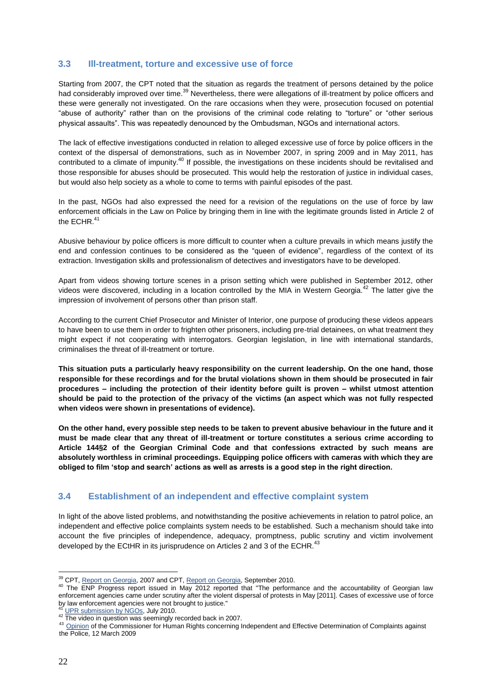#### **3.3 Ill-treatment, torture and excessive use of force**

Starting from 2007, the CPT noted that the situation as regards the treatment of persons detained by the police had considerably improved over time.<sup>39</sup> Nevertheless, there were allegations of ill-treatment by police officers and these were generally not investigated. On the rare occasions when they were, prosecution focused on potential "abuse of authority" rather than on the provisions of the criminal code relating to "torture" or "other serious physical assaults". This was repeatedly denounced by the Ombudsman, NGOs and international actors.

The lack of effective investigations conducted in relation to alleged excessive use of force by police officers in the context of the dispersal of demonstrations, such as in November 2007, in spring 2009 and in May 2011, has contributed to a climate of impunity.<sup>40</sup> If possible, the investigations on these incidents should be revitalised and those responsible for abuses should be prosecuted. This would help the restoration of justice in individual cases, but would also help society as a whole to come to terms with painful episodes of the past.

In the past, NGOs had also expressed the need for a revision of the regulations on the use of force by law enforcement officials in the Law on Police by bringing them in line with the legitimate grounds listed in Article 2 of the ECHR.<sup>41</sup>

Abusive behaviour by police officers is more difficult to counter when a culture prevails in which means justify the end and confession continues to be considered as the "queen of evidence", regardless of the context of its extraction. Investigation skills and professionalism of detectives and investigators have to be developed.

Apart from videos showing torture scenes in a prison setting which were published in September 2012, other videos were discovered, including in a location controlled by the MIA in Western Georgia. $^{42}$  The latter give the impression of involvement of persons other than prison staff.

According to the current Chief Prosecutor and Minister of Interior, one purpose of producing these videos appears to have been to use them in order to frighten other prisoners, including pre-trial detainees, on what treatment they might expect if not cooperating with interrogators. Georgian legislation, in line with international standards, criminalises the threat of ill-treatment or torture.

**This situation puts a particularly heavy responsibility on the current leadership. On the one hand, those responsible for these recordings and for the brutal violations shown in them should be prosecuted in fair procedures – including the protection of their identity before guilt is proven – whilst utmost attention should be paid to the protection of the privacy of the victims (an aspect which was not fully respected when videos were shown in presentations of evidence).** 

**On the other hand, every possible step needs to be taken to prevent abusive behaviour in the future and it must be made clear that any threat of ill-treatment or torture constitutes a serious crime according to Article 144§2 of the Georgian Criminal Code and that confessions extracted by such means are absolutely worthless in criminal proceedings. Equipping police officers with cameras with which they are obliged to film 'stop and search' actions as well as arrests is a good step in the right direction.** 

#### **3.4 Establishment of an independent and effective complaint system**

In light of the above listed problems, and notwithstanding the positive achievements in relation to patrol police, an independent and effective police complaints system needs to be established. Such a mechanism should take into account the five principles of independence, adequacy, promptness, public scrutiny and victim involvement developed by the ECtHR in its jurisprudence on Articles 2 and 3 of the ECHR.<sup>43</sup>

<sup>&</sup>lt;sup>39</sup> CPT, [Report on Georgia,](http://www.cpt.coe.int/documents/geo/2007-42-inf-eng.htm) 2007 and CPT[, Report on Georgia,](http://www.cpt.coe.int/documents/geo/2010-27-inf-eng.htm) September 2010.

<sup>40</sup> The ENP Progress report issued in May 2012 reported that "The performance and the accountability of Georgian law enforcement agencies came under scrutiny after the violent dispersal of protests in May [2011]. Cases of excessive use of force by law enforcement agencies were not brought to justice."

[UPR submission by NGOs,](http://humanrights.ge/admin/editor/uploads/pdf/27%2520gaero%2520-%2520upr-_final__1_%255b1%255d.pdf) July 2010.

<sup>42</sup> The video in question was seemingly recorded back in 2007.

<sup>43</sup> [Opinion](https://wcd.coe.int/viewdoc.jsp?id=1417857) of the Commissioner for Human Rights concerning Independent and Effective Determination of Complaints against the Police, 12 March 2009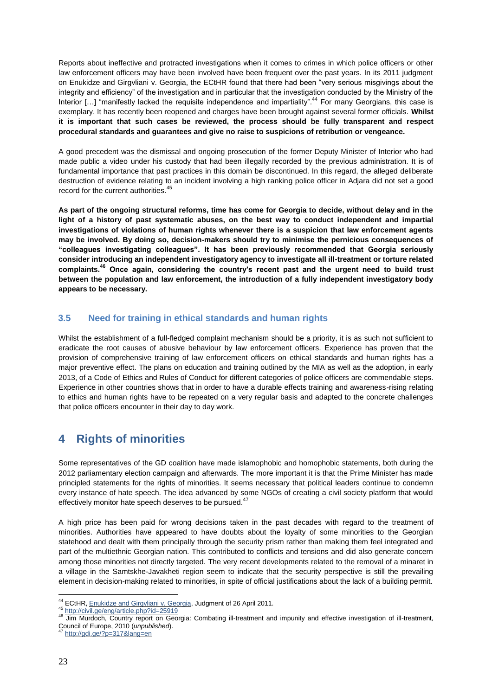Reports about ineffective and protracted investigations when it comes to crimes in which police officers or other law enforcement officers may have been involved have been frequent over the past years. In its 2011 judgment on Enukidze and Girgvliani v. Georgia, the ECtHR found that there had been "very serious misgivings about the integrity and efficiency" of the investigation and in particular that the investigation conducted by the Ministry of the Interior [...] "manifestly lacked the requisite independence and impartiality".<sup>44</sup> For many Georgians, this case is exemplary. It has recently been reopened and charges have been brought against several former officials. **Whilst it is important that such cases be reviewed, the process should be fully transparent and respect procedural standards and guarantees and give no raise to suspicions of retribution or vengeance.** 

A good precedent was the dismissal and ongoing prosecution of the former Deputy Minister of Interior who had made public a video under his custody that had been illegally recorded by the previous administration. It is of fundamental importance that past practices in this domain be discontinued. In this regard, the alleged deliberate destruction of evidence relating to an incident involving a high ranking police officer in Adjara did not set a good record for the current authorities.<sup>45</sup>

**As part of the ongoing structural reforms, time has come for Georgia to decide, without delay and in the light of a history of past systematic abuses, on the best way to conduct independent and impartial investigations of violations of human rights whenever there is a suspicion that law enforcement agents may be involved. By doing so, decision-makers should try to minimise the pernicious consequences of "colleagues investigating colleagues". It has been previously recommended that Georgia seriously consider introducing an independent investigatory agency to investigate all ill-treatment or torture related complaints.<sup>46</sup> Once again, considering the country's recent past and the urgent need to build trust between the population and law enforcement, the introduction of a fully independent investigatory body appears to be necessary.**

#### **3.5 Need for training in ethical standards and human rights**

Whilst the establishment of a full-fledged complaint mechanism should be a priority, it is as such not sufficient to eradicate the root causes of abusive behaviour by law enforcement officers. Experience has proven that the provision of comprehensive training of law enforcement officers on ethical standards and human rights has a major preventive effect. The plans on education and training outlined by the MIA as well as the adoption, in early 2013, of a Code of Ethics and Rules of Conduct for different categories of police officers are commendable steps. Experience in other countries shows that in order to have a durable effects training and awareness-rising relating to ethics and human rights have to be repeated on a very regular basis and adapted to the concrete challenges that police officers encounter in their day to day work.

# **4 Rights of minorities**

Some representatives of the GD coalition have made islamophobic and homophobic statements, both during the 2012 parliamentary election campaign and afterwards. The more important it is that the Prime Minister has made principled statements for the rights of minorities. It seems necessary that political leaders continue to condemn every instance of hate speech. The idea advanced by some NGOs of creating a civil society platform that would effectively monitor hate speech deserves to be pursued.<sup>47</sup>

A high price has been paid for wrong decisions taken in the past decades with regard to the treatment of minorities. Authorities have appeared to have doubts about the loyalty of some minorities to the Georgian statehood and dealt with them principally through the security prism rather than making them feel integrated and part of the multiethnic Georgian nation. This contributed to conflicts and tensions and did also generate concern among those minorities not directly targeted. The very recent developments related to the removal of a minaret in a village in the Samtskhe-Javakheti region seem to indicate that the security perspective is still the prevailing element in decision-making related to minorities, in spite of official justifications about the lack of a building permit.

 $\overline{a}$ <sup>44</sup> ECtHR, Enukidze and Girgyliani v. Georgia, Judgment of 26 April 2011.

<sup>45</sup> <http://civil.ge/eng/article.php?id=25919>

<sup>46</sup> Jim [Murdoch,](http://eprints.gla.ac.uk/view/author/6885.html) Country report on Georgia: Combating ill-treatment and impunity and effective investigation of ill-treatment*,*  Council of Europe, 2010 (*unpublished*).

<http://gdi.ge/?p=317&lang=en>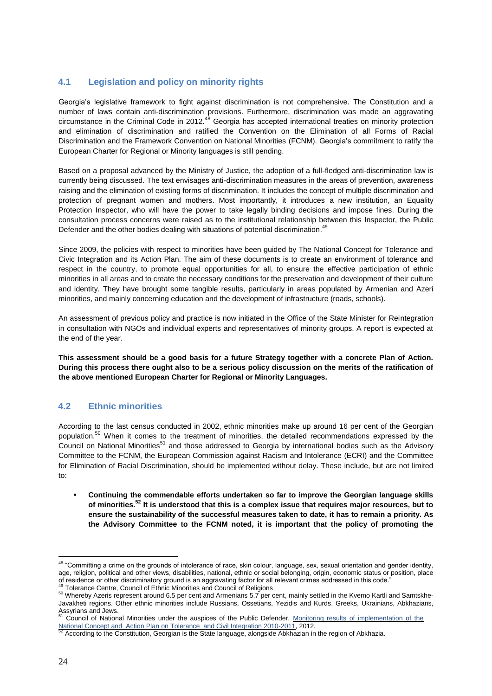#### **4.1 Legislation and policy on minority rights**

Georgia's legislative framework to fight against discrimination is not comprehensive. The Constitution and a number of laws contain anti-discrimination provisions. Furthermore, discrimination was made an aggravating circumstance in the Criminal Code in 2012.<sup>48</sup> Georgia has accepted international treaties on minority protection and elimination of discrimination and ratified the Convention on the Elimination of all Forms of Racial Discrimination and the Framework Convention on National Minorities (FCNM). Georgia's commitment to ratify the European Charter for Regional or Minority languages is still pending.

Based on a proposal advanced by the Ministry of Justice, the adoption of a full-fledged anti-discrimination law is currently being discussed. The text envisages anti-discrimination measures in the areas of prevention, awareness raising and the elimination of existing forms of discrimination. It includes the concept of multiple discrimination and protection of pregnant women and mothers. Most importantly, it introduces a new institution, an Equality Protection Inspector, who will have the power to take legally binding decisions and impose fines. During the consultation process concerns were raised as to the institutional relationship between this Inspector, the Public Defender and the other bodies dealing with situations of potential discrimination.<sup>49</sup>

Since 2009, the policies with respect to minorities have been guided by The National Concept for Tolerance and Civic Integration and its Action Plan. The aim of these documents is to create an environment of tolerance and respect in the country, to promote equal opportunities for all, to ensure the effective participation of ethnic minorities in all areas and to create the necessary conditions for the preservation and development of their culture and identity. They have brought some tangible results, particularly in areas populated by Armenian and Azeri minorities, and mainly concerning education and the development of infrastructure (roads, schools).

An assessment of previous policy and practice is now initiated in the Office of the State Minister for Reintegration in consultation with NGOs and individual experts and representatives of minority groups. A report is expected at the end of the year.

**This assessment should be a good basis for a future Strategy together with a concrete Plan of Action. During this process there ought also to be a serious policy discussion on the merits of the ratification of the above mentioned European Charter for Regional or Minority Languages.**

#### **4.2 Ethnic minorities**

According to the last census conducted in 2002, ethnic minorities make up around 16 per cent of the Georgian population.<sup>50</sup> When it comes to the treatment of minorities, the detailed recommendations expressed by the Council on National Minorities<sup>51</sup> and those addressed to Georgia by international bodies such as the Advisory Committee to the FCNM, the European Commission against Racism and Intolerance (ECRI) and the Committee for Elimination of Racial Discrimination, should be implemented without delay. These include, but are not limited to:

 **Continuing the commendable efforts undertaken so far to improve the Georgian language skills of minorities.<sup>52</sup> It is understood that this is a complex issue that requires major resources, but to ensure the sustainability of the successful measures taken to date, it has to remain a priority. As the Advisory Committee to the FCNM noted, it is important that the policy of promoting the** 

<sup>&</sup>lt;sup>48</sup> "Committing a crime on the grounds of intolerance of race, skin colour, language, sex, sexual orientation and gender identity, age, religion, political and other views, disabilities, national, ethnic or social belonging, origin, economic status or position, place of residence or other discriminatory ground is an aggravating factor for all relevant crimes addressed in this code."

<sup>49</sup> Tolerance Centre, Council of Ethnic Minorities and Council of Religions

<sup>50</sup> Whereby Azeris represent around 6.5 per cent and Armenians 5.7 per cent, mainly settled in the Kvemo Kartli and Samtskhe-Javakheti regions. Other ethnic minorities include Russians, Ossetians, Yezidis and Kurds, Greeks, Ukrainians, Abkhazians, Assyrians and Jews.

Council of National Minorities under the auspices of the Public Defender, Monitoring results of implementation of the

[National Concept and Action Plan on Tolerance and Civil Integration 2010-2011,](http://www.ecmicaucasus.org/upload/cnm/undp-publication-eng-final.pdf) 2012.<br><sup>52</sup> According to the Constitution, Georgian is the State language, alongside Abkhazian in the region of Abkhazia.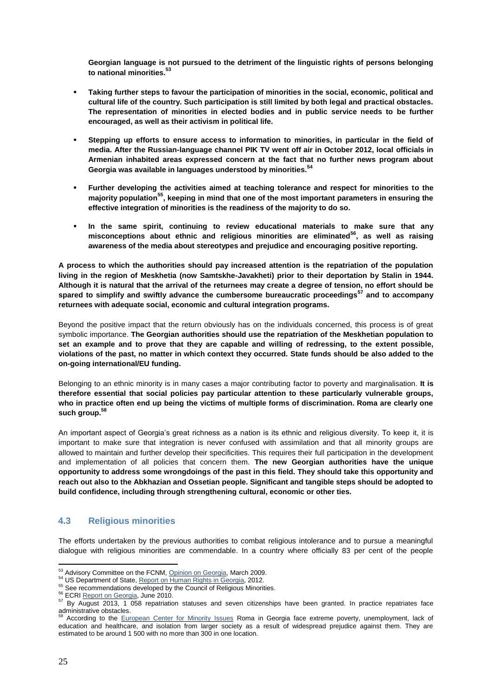**Georgian language is not pursued to the detriment of the linguistic rights of persons belonging to national minorities.<sup>53</sup>**

- **Taking further steps to favour the participation of minorities in the social, economic, political and cultural life of the country. Such participation is still limited by both legal and practical obstacles. The representation of minorities in elected bodies and in public service needs to be further encouraged, as well as their activism in political life.**
- **Stepping up efforts to ensure access to information to minorities, in particular in the field of media. After the Russian-language channel PIK TV went off air in October 2012, local officials in Armenian inhabited areas expressed concern at the fact that no further news program about Georgia was available in languages understood by minorities.<sup>54</sup>**
- **Further developing the activities aimed at teaching tolerance and respect for minorities to the majority population<sup>55</sup>, keeping in mind that one of the most important parameters in ensuring the effective integration of minorities is the readiness of the majority to do so.**
- **In the same spirit, continuing to review educational materials to make sure that any misconceptions about ethnic and religious minorities are eliminated<sup>56</sup>, as well as raising awareness of the media about stereotypes and prejudice and encouraging positive reporting.**

**A process to which the authorities should pay increased attention is the repatriation of the population living in the region of Meskhetia (now Samtskhe-Javakheti) prior to their deportation by Stalin in 1944. Although it is natural that the arrival of the returnees may create a degree of tension, no effort should be spared to simplify and swiftly advance the cumbersome bureaucratic proceedings<sup>57</sup> and to accompany returnees with adequate social, economic and cultural integration programs.**

Beyond the positive impact that the return obviously has on the individuals concerned, this process is of great symbolic importance. **The Georgian authorities should use the repatriation of the Meskhetian population to set an example and to prove that they are capable and willing of redressing, to the extent possible, violations of the past, no matter in which context they occurred. State funds should be also added to the on-going international/EU funding.**

Belonging to an ethnic minority is in many cases a major contributing factor to poverty and marginalisation. **It is therefore essential that social policies pay particular attention to these particularly vulnerable groups, who in practice often end up being the victims of multiple forms of discrimination. Roma are clearly one such group.<sup>58</sup>**

An important aspect of Georgia's great richness as a nation is its ethnic and religious diversity. To keep it, it is important to make sure that integration is never confused with assimilation and that all minority groups are allowed to maintain and further develop their specificities. This requires their full participation in the development and implementation of all policies that concern them. **The new Georgian authorities have the unique opportunity to address some wrongdoings of the past in this field. They should take this opportunity and reach out also to the Abkhazian and Ossetian people. Significant and tangible steps should be adopted to build confidence, including through strengthening cultural, economic or other ties.**

#### **4.3 Religious minorities**

The efforts undertaken by the previous authorities to combat religious intolerance and to pursue a meaningful dialogue with religious minorities are commendable. In a country where officially 83 per cent of the people

 $\overline{a}$ <sup>53</sup> Advisory Committee on the FCNM, [Opinion on Georgia,](http://www.coe.int/t/dghl/monitoring/minorities/3_fcnmdocs/pdf_1st_op_georgia_en.pdf) March 2009.

<sup>54</sup> US Department of State, [Report on Human Rights in Georgia,](http://www.state.gov/documents/organization/204499.pdf) 2012.

<sup>&</sup>lt;sup>55</sup> See recommendations developed by the Council of Religious Minorities.

<sup>&</sup>lt;sup>56</sup> ECRI [Report on Georgia,](http://www.coe.int/t/dghl/monitoring/ecri/country-by-country/georgia/geo-cbc-iv-2010-017-eng.pdf) June 2010.

<sup>57</sup> By August 2013, 1 058 repatriation statuses and seven citizenships have been granted. In practice repatriates face  $administrative obstacles.$ <sup>58</sup>

According to the [European Center for Minority Issues](http://www.ecmicaucasus.org/upload/publications/brief_21_eng.pdf) Roma in Georgia face extreme poverty, unemployment, lack of education and healthcare, and isolation from larger society as a result of widespread prejudice against them. They are estimated to be around 1 500 with no more than 300 in one location.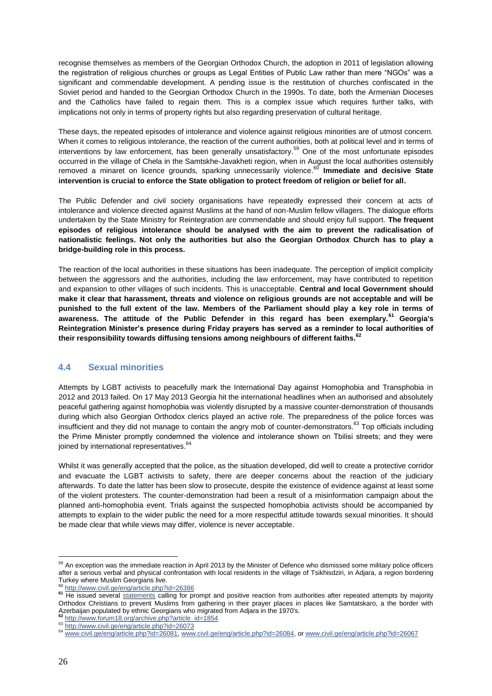recognise themselves as members of the Georgian Orthodox Church, the adoption in 2011 of legislation allowing the registration of religious churches or groups as Legal Entities of Public Law rather than mere "NGOs" was a significant and commendable development. A pending issue is the restitution of churches confiscated in the Soviet period and handed to the Georgian Orthodox Church in the 1990s. To date, both the Armenian Dioceses and the Catholics have failed to regain them. This is a complex issue which requires further talks, with implications not only in terms of property rights but also regarding preservation of cultural heritage.

These days, the repeated episodes of intolerance and violence against religious minorities are of utmost concern. When it comes to religious intolerance, the reaction of the current authorities, both at political level and in terms of interventions by law enforcement, has been generally unsatisfactory.<sup>59</sup> One of the most unfortunate episodes occurred in the village of Chela in the Samtskhe-Javakheti region, when in August the local authorities ostensibly removed a minaret on licence grounds, sparking unnecessarily violence.<sup>60</sup> Immediate and decisive State **intervention is crucial to enforce the State obligation to protect freedom of religion or belief for all.** 

The Public Defender and civil society organisations have repeatedly expressed their concern at acts of intolerance and violence directed against Muslims at the hand of non-Muslim fellow villagers. The dialogue efforts undertaken by the State Ministry for Reintegration are commendable and should enjoy full support. **The frequent episodes of religious intolerance should be analysed with the aim to prevent the radicalisation of nationalistic feelings. Not only the authorities but also the Georgian Orthodox Church has to play a bridge-building role in this process.** 

The reaction of the local authorities in these situations has been inadequate. The perception of implicit complicity between the aggressors and the authorities, including the law enforcement, may have contributed to repetition and expansion to other villages of such incidents. This is unacceptable. **Central and local Government should make it clear that harassment, threats and violence on religious grounds are not acceptable and will be punished to the full extent of the law. Members of the Parliament should play a key role in terms of awareness. The attitude of the Public Defender in this regard has been exemplary.<sup>61</sup> Georgia's Reintegration Minister's presence during Friday prayers has served as a reminder to local authorities of their responsibility towards diffusing tensions among neighbours of different faiths.<sup>62</sup>**

#### **4.4 Sexual minorities**

Attempts by LGBT activists to peacefully mark the International Day against Homophobia and Transphobia in 2012 and 2013 failed. On 17 May 2013 Georgia hit the international headlines when an authorised and absolutely peaceful gathering against homophobia was violently disrupted by a massive counter-demonstration of thousands during which also Georgian Orthodox clerics played an active role. The preparedness of the police forces was insufficient and they did not manage to contain the angry mob of counter-demonstrators.<sup>63</sup> Top officials including the Prime Minister promptly condemned the violence and intolerance shown on Tbilisi streets; and they were joined by international representatives.<sup>64</sup>

Whilst it was generally accepted that the police, as the situation developed, did well to create a protective corridor and evacuate the LGBT activists to safety, there are deeper concerns about the reaction of the judiciary afterwards. To date the latter has been slow to prosecute, despite the existence of evidence against at least some of the violent protesters. The counter-demonstration had been a result of a misinformation campaign about the planned anti-homophobia event. Trials against the suspected homophobia activists should be accompanied by attempts to explain to the wider public the need for a more respectful attitude towards sexual minorities. It should be made clear that while views may differ, violence is never acceptable.

 $\overline{a}$ <sup>59</sup> An exception was the immediate reaction in April 2013 by the Minister of Defence who dismissed some military police officers after a serious verbal and physical confrontation with local residents in the village of Tsikhisdziri, in Adjara, a region bordering Turkey where Muslim Georgians live.

<http://www.civil.ge/eng/article.php?id=26386>

**<sup>61</sup>** He issued several [statements](http://www.ombudsman.ge/index.php?page=1001&lang=1&id=1744) calling for prompt and positive reaction from authorities after repeated attempts by majority Orthodox Christians to prevent Muslims from gathering in their prayer places in places like Samtatskaro, a the border with Azerbaijan populated by ethnic Georgians who migrated from Adjara in the 1970's. **<sup>62</sup>** [http://www.forum18.org/archive.php?article\\_id=1854](http://www.forum18.org/archive.php?article_id=1854)

<sup>63</sup> <http://www.civil.ge/eng/article.php?id=26073>

<sup>64</sup> www.civil.ge/eng/article.php?id=26081, www.civil.ge/eng/article.php?id=26084, or www.civil.ge/eng/article.php?id=26067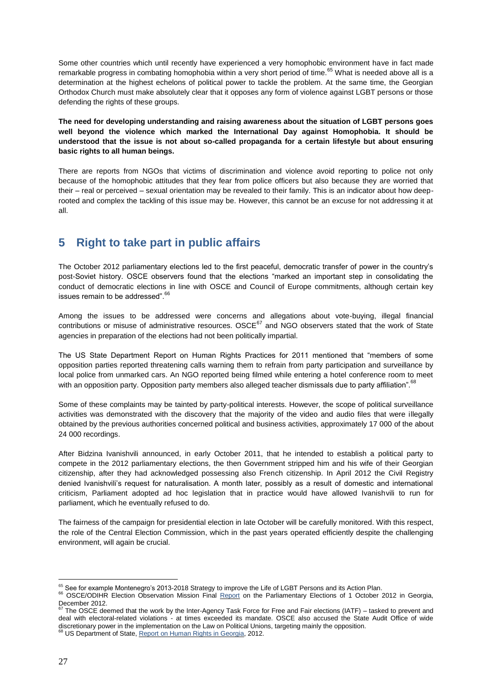Some other countries which until recently have experienced a very homophobic environment have in fact made remarkable progress in combating homophobia within a very short period of time.<sup>65</sup> What is needed above all is a determination at the highest echelons of political power to tackle the problem. At the same time, the Georgian Orthodox Church must make absolutely clear that it opposes any form of violence against LGBT persons or those defending the rights of these groups.

**The need for developing understanding and raising awareness about the situation of LGBT persons goes well beyond the violence which marked the International Day against Homophobia. It should be understood that the issue is not about so-called propaganda for a certain lifestyle but about ensuring basic rights to all human beings.** 

There are reports from NGOs that victims of discrimination and violence avoid reporting to police not only because of the homophobic attitudes that they fear from police officers but also because they are worried that their – real or perceived – sexual orientation may be revealed to their family. This is an indicator about how deeprooted and complex the tackling of this issue may be. However, this cannot be an excuse for not addressing it at all.

# **5 Right to take part in public affairs**

The October 2012 parliamentary elections led to the first peaceful, democratic transfer of power in the country's post-Soviet history. OSCE observers found that the elections "marked an important step in consolidating the conduct of democratic elections in line with OSCE and Council of Europe commitments, although certain key issues remain to be addressed".<sup>66</sup>

Among the issues to be addressed were concerns and allegations about vote-buying, illegal financial contributions or misuse of administrative resources. OSCE<sup>67</sup> and NGO observers stated that the work of State agencies in preparation of the elections had not been politically impartial.

The US State Department Report on Human Rights Practices for 2011 mentioned that "members of some opposition parties reported threatening calls warning them to refrain from party participation and surveillance by local police from unmarked cars. An NGO reported being filmed while entering a hotel conference room to meet with an opposition party. Opposition party members also alleged teacher dismissals due to party affiliation".<sup>68</sup>

Some of these complaints may be tainted by party-political interests. However, the scope of political surveillance activities was demonstrated with the discovery that the majority of the video and audio files that were illegally obtained by the previous authorities concerned political and business activities, approximately 17 000 of the about 24 000 recordings.

After Bidzina Ivanishvili announced, in early October 2011, that he intended to establish a political party to compete in the 2012 parliamentary elections, the then Government stripped him and his wife of their Georgian citizenship, after they had acknowledged possessing also French citizenship. In April 2012 the Civil Registry denied Ivanishvili's request for naturalisation. A month later, possibly as a result of domestic and international criticism, Parliament adopted ad hoc legislation that in practice would have allowed Ivanishvili to run for parliament, which he eventually refused to do.

The fairness of the campaign for presidential election in late October will be carefully monitored. With this respect, the role of the Central Election Commission, which in the past years operated efficiently despite the challenging environment, will again be crucial.

 $\overline{a}$  $^{65}$  See for example Montenegro's 2013-2018 Strategy to improve the Life of LGBT Persons and its Action Plan.

<sup>66</sup> OSCE/ODIHR Election Observation Mission [Final Report](http://www.osce.org/odihr/98399) on the Parliamentary Elections of 1 October 2012 in Georgia, December 2012.

 $67$  The OSCE deemed that the work by the Inter-Agency Task Force for Free and Fair elections (IATF) – tasked to prevent and deal with electoral-related violations - at times exceeded its mandate. OSCE also accused the State Audit Office of wide discretionary power in the implementation on the Law on Political Unions, targeting mainly the opposition.

<sup>68</sup> US Department of State, [Report on Human Rights in Georgia,](http://www.state.gov/documents/organization/204499.pdf) 2012.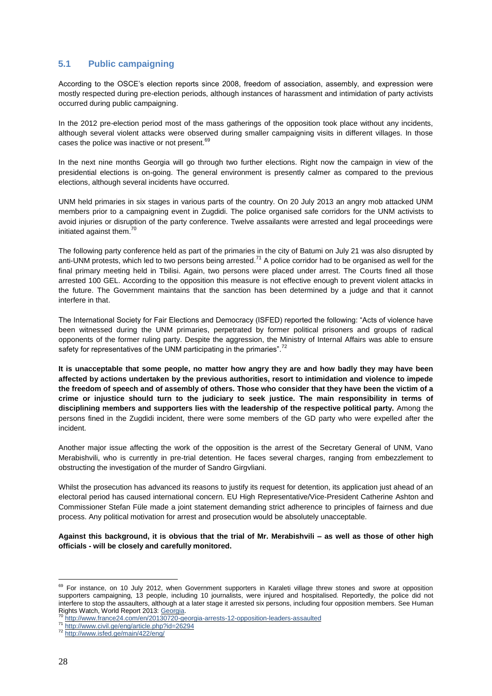#### **5.1 Public campaigning**

According to the OSCE's election reports since 2008, freedom of association, assembly, and expression were mostly respected during pre-election periods, although instances of harassment and intimidation of party activists occurred during public campaigning.

In the 2012 pre-election period most of the mass gatherings of the opposition took place without any incidents, although several violent attacks were observed during smaller campaigning visits in different villages. In those cases the police was inactive or not present.<sup>69</sup>

In the next nine months Georgia will go through two further elections. Right now the campaign in view of the presidential elections is on-going. The general environment is presently calmer as compared to the previous elections, although several incidents have occurred.

UNM held primaries in six stages in various parts of the country. On 20 July 2013 an angry mob attacked UNM members prior to a campaigning event in Zugdidi. The police organised safe corridors for the UNM activists to avoid injuries or disruption of the party conference. Twelve assailants were arrested and legal proceedings were initiated against them.<sup>70</sup>

The following party conference held as part of the primaries in the city of Batumi on July 21 was also disrupted by anti-UNM protests, which led to two persons being arrested.<sup>71</sup> A police corridor had to be organised as well for the final primary meeting held in Tbilisi. Again, two persons were placed under arrest. The Courts fined all those arrested 100 GEL. According to the opposition this measure is not effective enough to prevent violent attacks in the future. The Government maintains that the sanction has been determined by a judge and that it cannot interfere in that.

The International Society for Fair Elections and Democracy (ISFED) reported the following: "Acts of violence have been witnessed during the UNM primaries, perpetrated by former political prisoners and groups of radical opponents of the former ruling party. Despite the aggression, the Ministry of Internal Affairs was able to ensure safety for representatives of the UNM participating in the primaries".<sup>72</sup>

**It is unacceptable that some people, no matter how angry they are and how badly they may have been affected by actions undertaken by the previous authorities, resort to intimidation and violence to impede the freedom of speech and of assembly of others. Those who consider that they have been the victim of a crime or injustice should turn to the judiciary to seek justice. The main responsibility in terms of disciplining members and supporters lies with the leadership of the respective political party.** Among the persons fined in the Zugdidi incident, there were some members of the GD party who were expelled after the incident.

Another major issue affecting the work of the opposition is the arrest of the Secretary General of UNM, Vano Merabishvili, who is currently in pre-trial detention. He faces several charges, ranging from embezzlement to obstructing the investigation of the murder of Sandro Girgvliani.

Whilst the prosecution has advanced its reasons to justify its request for detention, its application just ahead of an electoral period has caused international concern. EU High Representative/Vice-President Catherine Ashton and Commissioner Stefan Füle made a joint statement demanding strict adherence to principles of fairness and due process. Any political motivation for arrest and prosecution would be absolutely unacceptable.

**Against this background, it is obvious that the trial of Mr. Merabishvili – as well as those of other high officials - will be closely and carefully monitored.**

 $69$  For instance, on 10 July 2012, when Government supporters in Karaleti village threw stones and swore at opposition supporters campaigning, 13 people, including 10 journalists, were injured and hospitalised. Reportedly, the police did not interfere to stop the assaulters, although at a later stage it arrested six persons, including four opposition members. See Human Rights Watch, World Report 2013[: Georgia.](http://www.hrw.org/world-report/2013/country-chapters/georgia)

<http://www.france24.com/en/20130720-georgia-arrests-12-opposition-leaders-assaulted>

<sup>71</sup> <http://www.civil.ge/eng/article.php?id=26294>

<sup>72</sup> <http://www.isfed.ge/main/422/eng/>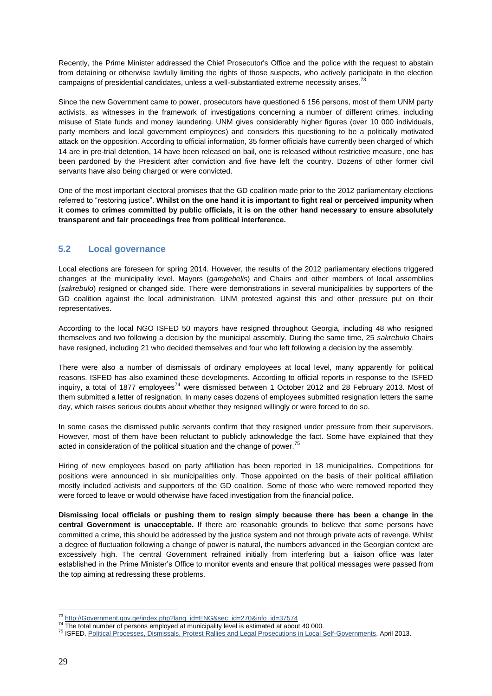Recently, the Prime Minister addressed the Chief Prosecutor's Office and the police with the request to abstain from detaining or otherwise lawfully limiting the rights of those suspects, who actively participate in the election campaigns of presidential candidates, unless a well-substantiated extreme necessity arises.<sup>73</sup>

Since the new Government came to power, prosecutors have questioned 6 156 persons, most of them UNM party activists, as witnesses in the framework of investigations concerning a number of different crimes, including misuse of State funds and money laundering. UNM gives considerably higher figures (over 10 000 individuals, party members and local government employees) and considers this questioning to be a politically motivated attack on the opposition. According to official information, 35 former officials have currently been charged of which 14 are in pre-trial detention, 14 have been released on bail, one is released without restrictive measure, one has been pardoned by the President after conviction and five have left the country. Dozens of other former civil servants have also being charged or were convicted.

One of the most important electoral promises that the GD coalition made prior to the 2012 parliamentary elections referred to "restoring justice". **Whilst on the one hand it is important to fight real or perceived impunity when it comes to crimes committed by public officials, it is on the other hand necessary to ensure absolutely transparent and fair proceedings free from political interference.** 

#### **5.2 Local governance**

Local elections are foreseen for spring 2014. However, the results of the 2012 parliamentary elections triggered changes at the municipality level. Mayors (*gamgebelis*) and Chairs and other members of local assemblies (*sakrebulo*) resigned or changed side. There were demonstrations in several municipalities by supporters of the GD coalition against the local administration. UNM protested against this and other pressure put on their representatives.

According to the local NGO ISFED 50 mayors have resigned throughout Georgia, including 48 who resigned themselves and two following a decision by the municipal assembly. During the same time, 25 *sakrebulo* Chairs have resigned, including 21 who decided themselves and four who left following a decision by the assembly.

There were also a number of dismissals of ordinary employees at local level, many apparently for political reasons. ISFED has also examined these developments. According to official reports in response to the ISFED inquiry, a total of 1877 employees<sup>74</sup> were dismissed between 1 October 2012 and 28 February 2013. Most of them submitted a letter of resignation. In many cases dozens of employees submitted resignation letters the same day, which raises serious doubts about whether they resigned willingly or were forced to do so.

In some cases the dismissed public servants confirm that they resigned under pressure from their supervisors. However, most of them have been reluctant to publicly acknowledge the fact. Some have explained that they acted in consideration of the political situation and the change of power.<sup>75</sup>

Hiring of new employees based on party affiliation has been reported in 18 municipalities. Competitions for positions were announced in six municipalities only. Those appointed on the basis of their political affiliation mostly included activists and supporters of the GD coalition. Some of those who were removed reported they were forced to leave or would otherwise have faced investigation from the financial police.

**Dismissing local officials or pushing them to resign simply because there has been a change in the central Government is unacceptable.** If there are reasonable grounds to believe that some persons have committed a crime, this should be addressed by the justice system and not through private acts of revenge. Whilst a degree of fluctuation following a change of power is natural, the numbers advanced in the Georgian context are excessively high. The central Government refrained initially from interfering but a liaison office was later established in the Prime Minister's Office to monitor events and ensure that political messages were passed from the top aiming at redressing these problems.

<sup>&</sup>lt;sup>73</sup> [http://Government.gov.ge/index.php?lang\\_id=ENG&sec\\_id=270&info\\_id=37574](http://government.gov.ge/index.php?lang_id=eng&sec_id=270&info_id=37574)

<sup>&</sup>lt;sup>74</sup> The total number of persons employed at municipality level is estimated at about 40 000.

<sup>75</sup> ISFED[, Political Processes, Dismissals, Protest Rallies and Legal Prosecutions in Local Self-Governments,](http://www.isfed.ge/main/154/eng/) April 2013.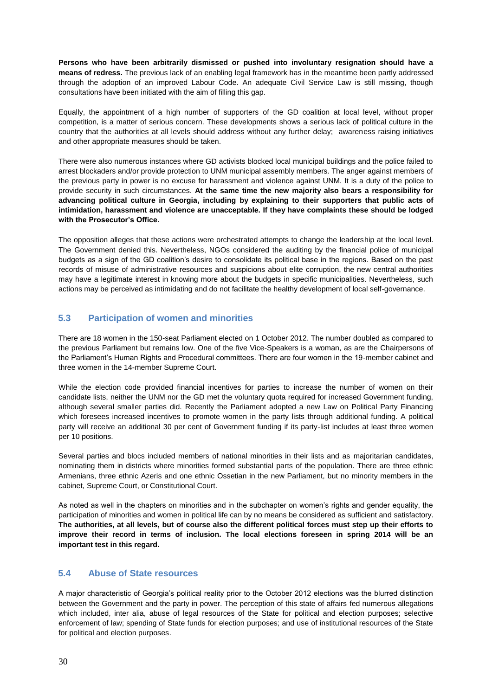**Persons who have been arbitrarily dismissed or pushed into involuntary resignation should have a means of redress.** The previous lack of an enabling legal framework has in the meantime been partly addressed through the adoption of an improved Labour Code. An adequate Civil Service Law is still missing, though consultations have been initiated with the aim of filling this gap.

Equally, the appointment of a high number of supporters of the GD coalition at local level, without proper competition, is a matter of serious concern. These developments shows a serious lack of political culture in the country that the authorities at all levels should address without any further delay; awareness raising initiatives and other appropriate measures should be taken.

There were also numerous instances where GD activists blocked local municipal buildings and the police failed to arrest blockaders and/or provide protection to UNM municipal assembly members. The anger against members of the previous party in power is no excuse for harassment and violence against UNM. It is a duty of the police to provide security in such circumstances. **At the same time the new majority also bears a responsibility for advancing political culture in Georgia, including by explaining to their supporters that public acts of intimidation, harassment and violence are unacceptable. If they have complaints these should be lodged with the Prosecutor's Office.** 

The opposition alleges that these actions were orchestrated attempts to change the leadership at the local level. The Government denied this. Nevertheless, NGOs considered the auditing by the financial police of municipal budgets as a sign of the GD coalition's desire to consolidate its political base in the regions. Based on the past records of misuse of administrative resources and suspicions about elite corruption, the new central authorities may have a legitimate interest in knowing more about the budgets in specific municipalities. Nevertheless, such actions may be perceived as intimidating and do not facilitate the healthy development of local self-governance.

#### **5.3 Participation of women and minorities**

There are 18 women in the 150-seat Parliament elected on 1 October 2012. The number doubled as compared to the previous Parliament but remains low. One of the five Vice-Speakers is a woman, as are the Chairpersons of the Parliament's Human Rights and Procedural committees. There are four women in the 19-member cabinet and three women in the 14-member Supreme Court.

While the election code provided financial incentives for parties to increase the number of women on their candidate lists, neither the UNM nor the GD met the voluntary quota required for increased Government funding, although several smaller parties did. Recently the Parliament adopted a new Law on Political Party Financing which foresees increased incentives to promote women in the party lists through additional funding. A political party will receive an additional 30 per cent of Government funding if its party-list includes at least three women per 10 positions.

Several parties and blocs included members of national minorities in their lists and as majoritarian candidates, nominating them in districts where minorities formed substantial parts of the population. There are three ethnic Armenians, three ethnic Azeris and one ethnic Ossetian in the new Parliament, but no minority members in the cabinet, Supreme Court, or Constitutional Court.

As noted as well in the chapters on minorities and in the subchapter on women's rights and gender equality, the participation of minorities and women in political life can by no means be considered as sufficient and satisfactory. **The authorities, at all levels, but of course also the different political forces must step up their efforts to improve their record in terms of inclusion. The local elections foreseen in spring 2014 will be an important test in this regard.**

#### **5.4 Abuse of State resources**

A major characteristic of Georgia's political reality prior to the October 2012 elections was the blurred distinction between the Government and the party in power. The perception of this state of affairs fed numerous allegations which included, inter alia, abuse of legal resources of the State for political and election purposes; selective enforcement of law; spending of State funds for election purposes; and use of institutional resources of the State for political and election purposes.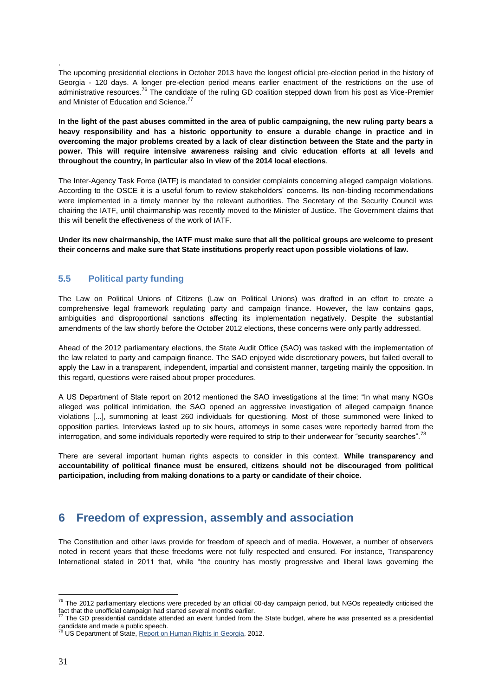The upcoming presidential elections in October 2013 have the longest official pre-election period in the history of Georgia - 120 days. A longer pre-election period means earlier enactment of the restrictions on the use of administrative resources.<sup>76</sup> The candidate of the ruling GD coalition stepped down from his post as Vice-Premier and Minister of Education and Science.<sup>77</sup>

**In the light of the past abuses committed in the area of public campaigning, the new ruling party bears a heavy responsibility and has a historic opportunity to ensure a durable change in practice and in overcoming the major problems created by a lack of clear distinction between the State and the party in power. This will require intensive awareness raising and civic education efforts at all levels and throughout the country, in particular also in view of the 2014 local elections**.

The Inter-Agency Task Force (IATF) is mandated to consider complaints concerning alleged campaign violations. According to the OSCE it is a useful forum to review stakeholders' concerns. Its non-binding recommendations were implemented in a timely manner by the relevant authorities. The Secretary of the Security Council was chairing the IATF, until chairmanship was recently moved to the Minister of Justice. The Government claims that this will benefit the effectiveness of the work of IATF.

**Under its new chairmanship, the IATF must make sure that all the political groups are welcome to present their concerns and make sure that State institutions properly react upon possible violations of law.**

#### **5.5 Political party funding**

.

The Law on Political Unions of Citizens (Law on Political Unions) was drafted in an effort to create a comprehensive legal framework regulating party and campaign finance. However, the law contains gaps, ambiguities and disproportional sanctions affecting its implementation negatively. Despite the substantial amendments of the law shortly before the October 2012 elections, these concerns were only partly addressed.

Ahead of the 2012 parliamentary elections, the State Audit Office (SAO) was tasked with the implementation of the law related to party and campaign finance. The SAO enjoyed wide discretionary powers, but failed overall to apply the Law in a transparent, independent, impartial and consistent manner, targeting mainly the opposition. In this regard, questions were raised about proper procedures.

A US Department of State report on 2012 mentioned the SAO investigations at the time: "In what many NGOs alleged was political intimidation, the SAO opened an aggressive investigation of alleged campaign finance violations [...], summoning at least 260 individuals for questioning. Most of those summoned were linked to opposition parties. Interviews lasted up to six hours, attorneys in some cases were reportedly barred from the interrogation, and some individuals reportedly were required to strip to their underwear for "security searches".<sup>7</sup>

There are several important human rights aspects to consider in this context. **While transparency and accountability of political finance must be ensured, citizens should not be discouraged from political participation, including from making donations to a party or candidate of their choice.**

# **6 Freedom of expression, assembly and association**

The Constitution and other laws provide for freedom of speech and of media. However, a number of observers noted in recent years that these freedoms were not fully respected and ensured. For instance, Transparency International stated in 2011 that, while "the country has mostly progressive and liberal laws governing the

 $\overline{a}$  $^{76}$  The 2012 parliamentary elections were preceded by an official 60-day campaign period, but NGOs repeatedly criticised the fact that the unofficial campaign had started several months earlier.

The GD presidential candidate attended an event funded from the State budget, where he was presented as a presidential

candidate and made a public speech.<br><sup>78</sup> US Department of State, <u>Report on Human Rights in Georgia</u>, 2012.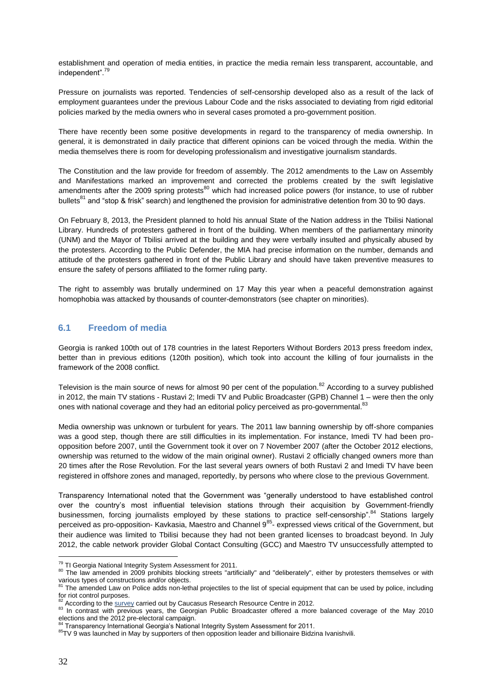establishment and operation of media entities, in practice the media remain less transparent, accountable, and independent".<sup>79</sup>

Pressure on journalists was reported. Tendencies of self-censorship developed also as a result of the lack of employment guarantees under the previous Labour Code and the risks associated to deviating from rigid editorial policies marked by the media owners who in several cases promoted a pro-government position.

There have recently been some positive developments in regard to the transparency of media ownership. In general, it is demonstrated in daily practice that different opinions can be voiced through the media. Within the media themselves there is room for developing professionalism and investigative journalism standards.

The Constitution and the law provide for freedom of assembly. The 2012 amendments to the Law on Assembly and Manifestations marked an improvement and corrected the problems created by the swift legislative amendments after the 2009 spring protests<sup>80</sup> which had increased police powers (for instance, to use of rubber bullets<sup>81</sup> and "stop & frisk" search) and lengthened the provision for administrative detention from 30 to 90 days.

On February 8, 2013, the President planned to hold his annual State of the Nation address in the Tbilisi National Library. Hundreds of protesters gathered in front of the building. When members of the parliamentary minority (UNM) and the Mayor of Tbilisi arrived at the building and they were verbally insulted and physically abused by the protesters. According to the Public Defender, the MIA had precise information on the number, demands and attitude of the protesters gathered in front of the Public Library and should have taken preventive measures to ensure the safety of persons affiliated to the former ruling party.

The right to assembly was brutally undermined on 17 May this year when a peaceful demonstration against homophobia was attacked by thousands of counter-demonstrators (see chapter on minorities).

#### **6.1 Freedom of media**

Georgia is ranked 100th out of 178 countries in the latest Reporters Without Borders 2013 press freedom index, better than in previous editions (120th position), which took into account the killing of four journalists in the framework of the 2008 conflict.

Television is the main source of news for almost 90 per cent of the population.<sup>82</sup> According to a survey published in 2012, the main TV stations - Rustavi 2; Imedi TV and Public Broadcaster (GPB) Channel 1 – were then the only ones with national coverage and they had an editorial policy perceived as pro-governmental.<sup>83</sup>

Media ownership was unknown or turbulent for years. The 2011 law banning ownership by off-shore companies was a good step, though there are still difficulties in its implementation. For instance, Imedi TV had been proopposition before 2007, until the Government took it over on 7 November 2007 (after the October 2012 elections, ownership was returned to the widow of the main original owner). Rustavi 2 officially changed owners more than 20 times after the Rose Revolution. For the last several years owners of both Rustavi 2 and Imedi TV have been registered in offshore zones and managed, reportedly, by persons who where close to the previous Government.

Transparency International noted that the Government was "generally understood to have established control over the country's most influential television stations through their acquisition by Government-friendly businessmen, forcing journalists employed by these stations to practice self-censorship".<sup>84</sup> Stations largely perceived as pro-opposition- Kavkasia, Maestro and Channel 9<sup>85</sup>- expressed views critical of the Government, but their audience was limited to Tbilisi because they had not been granted licenses to broadcast beyond. In July 2012, the cable network provider Global Contact Consulting (GCC) and Maestro TV unsuccessfully attempted to

<sup>&</sup>lt;sup>79</sup> TI Georgia National Integrity System Assessment for 2011.

<sup>80</sup> The law amended in 2009 prohibits blocking streets "artificially" and "deliberately", either by protesters themselves or with various types of constructions and/or objects.<br><sup>81</sup> The amended Law on Police adds non-lethal projectiles to the list of special equipment that can be used by police, including

for riot control purposes.

According to th[e survey](http://www.media.ge/en/portal/news/51749/) carried out by Caucasus Research Resource Centre in 2012.

<sup>&</sup>lt;sup>83</sup> In contrast with previous years, the Georgian Public Broadcaster offered a more balanced coverage of the May 2010 elections and the 2012 pre-electoral campaign.<br><sup>84</sup> Transparency International Georgia's National Integrity System Assessment for 2011.

<sup>85</sup>TV 9 was launched in May by supporters of then opposition leader and billionaire Bidzina Ivanishvili.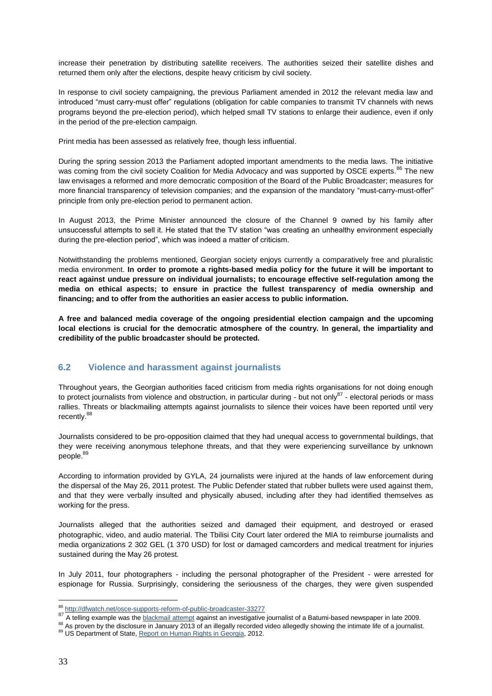increase their penetration by distributing satellite receivers. The authorities seized their satellite dishes and returned them only after the elections, despite heavy criticism by civil society.

In response to civil society campaigning, the previous Parliament amended in 2012 the relevant media law and introduced "must carry-must offer" regulations (obligation for cable companies to transmit TV channels with news programs beyond the pre-election period), which helped small TV stations to enlarge their audience, even if only in the period of the pre-election campaign.

Print media has been assessed as relatively free, though less influential.

During the spring session 2013 the Parliament adopted important amendments to the media laws. The initiative was coming from the civil society Coalition for Media Advocacy and was supported by OSCE experts.<sup>86</sup> The new law envisages a reformed and more democratic composition of the Board of the Public Broadcaster; measures for more financial transparency of television companies; and the expansion of the mandatory "must-carry-must-offer" principle from only pre-election period to permanent action.

In August 2013, the Prime Minister announced the closure of the Channel 9 owned by his family after unsuccessful attempts to sell it. He stated that the TV station "was creating an unhealthy environment especially during the pre-election period", which was indeed a matter of criticism.

Notwithstanding the problems mentioned, Georgian society enjoys currently a comparatively free and pluralistic media environment. **In order to promote a rights-based media policy for the future it will be important to react against undue pressure on individual journalists; to encourage effective self-regulation among the media on ethical aspects; to ensure in practice the fullest transparency of media ownership and financing; and to offer from the authorities an easier access to public information.** 

**A free and balanced media coverage of the ongoing presidential election campaign and the upcoming local elections is crucial for the democratic atmosphere of the country. In general, the impartiality and credibility of the public broadcaster should be protected.** 

#### **6.2 Violence and harassment against journalists**

Throughout years, the Georgian authorities faced criticism from media rights organisations for not doing enough to protect journalists from violence and obstruction, in particular during - but not only<sup>87</sup> - electoral periods or mass rallies. Threats or blackmailing attempts against journalists to silence their voices have been reported until very recently.<sup>88</sup>

Journalists considered to be pro-opposition claimed that they had unequal access to governmental buildings, that they were receiving anonymous telephone threats, and that they were experiencing surveillance by unknown people.<sup>89</sup>

According to information provided by GYLA, 24 journalists were injured at the hands of law enforcement during the dispersal of the May 26, 2011 protest. The Public Defender stated that rubber bullets were used against them, and that they were verbally insulted and physically abused, including after they had identified themselves as working for the press.

Journalists alleged that the authorities seized and damaged their equipment, and destroyed or erased photographic, video, and audio material. The Tbilisi City Court later ordered the MIA to reimburse journalists and media organizations 2 302 GEL (1 370 USD) for lost or damaged camcorders and medical treatment for injuries sustained during the May 26 protest.

In July 2011, four photographers - including the personal photographer of the President - were arrested for espionage for Russia. Surprisingly, considering the seriousness of the charges, they were given suspended

 $\overline{a}$ <sup>86</sup> <http://dfwatch.net/osce-supports-reform-of-public-broadcaster-33277>

<sup>87</sup> A telling example was the **blackmail attempt against an investigative** journalist of a Batumi-based newspaper in late 2009.

<sup>88</sup> As proven by the disclosure in January 2013 of an illegally recorded video allegedly showing the intimate life of a journalist.

<sup>89</sup> US Department of State, [Report on Human Rights in Georgia,](http://www.state.gov/documents/organization/204499.pdf) 2012.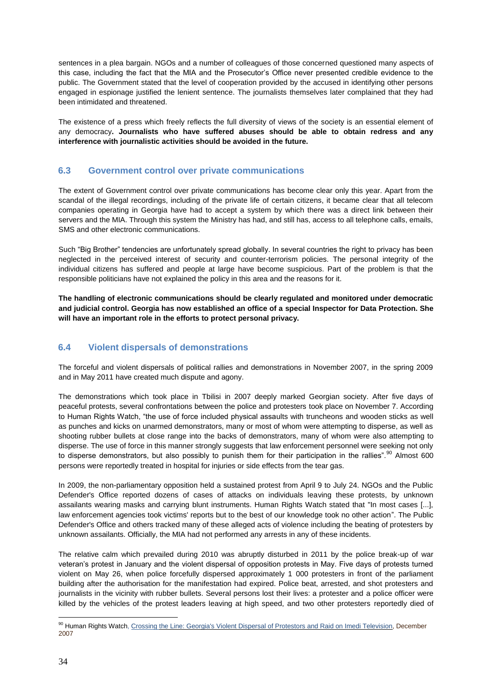sentences in a plea bargain. NGOs and a number of colleagues of those concerned questioned many aspects of this case, including the fact that the MIA and the Prosecutor's Office never presented credible evidence to the public. The Government stated that the level of cooperation provided by the accused in identifying other persons engaged in espionage justified the lenient sentence. The journalists themselves later complained that they had been intimidated and threatened.

The existence of a press which freely reflects the full diversity of views of the society is an essential element of any democracy**. Journalists who have suffered abuses should be able to obtain redress and any interference with journalistic activities should be avoided in the future.** 

#### **6.3 Government control over private communications**

The extent of Government control over private communications has become clear only this year. Apart from the scandal of the illegal recordings, including of the private life of certain citizens, it became clear that all telecom companies operating in Georgia have had to accept a system by which there was a direct link between their servers and the MIA. Through this system the Ministry has had, and still has, access to all telephone calls, emails, SMS and other electronic communications.

Such "Big Brother" tendencies are unfortunately spread globally. In several countries the right to privacy has been neglected in the perceived interest of security and counter-terrorism policies. The personal integrity of the individual citizens has suffered and people at large have become suspicious. Part of the problem is that the responsible politicians have not explained the policy in this area and the reasons for it.

**The handling of electronic communications should be clearly regulated and monitored under democratic and judicial control. Georgia has now established an office of a special Inspector for Data Protection. She will have an important role in the efforts to protect personal privacy.**

#### **6.4 Violent dispersals of demonstrations**

The forceful and violent dispersals of political rallies and demonstrations in November 2007, in the spring 2009 and in May 2011 have created much dispute and agony.

The demonstrations which took place in Tbilisi in 2007 deeply marked Georgian society. After five days of peaceful protests, several confrontations between the police and protesters took place on November 7. According to Human Rights Watch, "the use of force included physical assaults with truncheons and wooden sticks as well as punches and kicks on unarmed demonstrators, many or most of whom were attempting to disperse, as well as shooting rubber bullets at close range into the backs of demonstrators, many of whom were also attempting to disperse. The use of force in this manner strongly suggests that law enforcement personnel were seeking not only to disperse demonstrators, but also possibly to punish them for their participation in the rallies".<sup>90</sup> Almost 600 persons were reportedly treated in hospital for injuries or side effects from the tear gas.

In 2009, the non-parliamentary opposition held a sustained protest from April 9 to July 24. NGOs and the Public Defender's Office reported dozens of cases of attacks on individuals leaving these protests, by unknown assailants wearing masks and carrying blunt instruments. Human Rights Watch stated that "In most cases [...], law enforcement agencies took victims' reports but to the best of our knowledge took no other action". The Public Defender's Office and others tracked many of these alleged acts of violence including the beating of protesters by unknown assailants. Officially, the MIA had not performed any arrests in any of these incidents.

The relative calm which prevailed during 2010 was abruptly disturbed in 2011 by the police break-up of war veteran's protest in January and the violent dispersal of opposition protests in May. Five days of protests turned violent on May 26, when police forcefully dispersed approximately 1 000 protesters in front of the parliament building after the authorisation for the manifestation had expired. Police beat, arrested, and shot protesters and journalists in the vicinity with rubber bullets. Several persons lost their lives: a protester and a police officer were killed by the vehicles of the protest leaders leaving at high speed, and two other protesters reportedly died of

<sup>90</sup> Human Rights Watch, Crossin[g the Line: Georgia's Violent Dispersal of Protestors and Raid on Imedi Television,](http://www.hrw.org/reports/2007/12/19/crossing-line-0) December 2007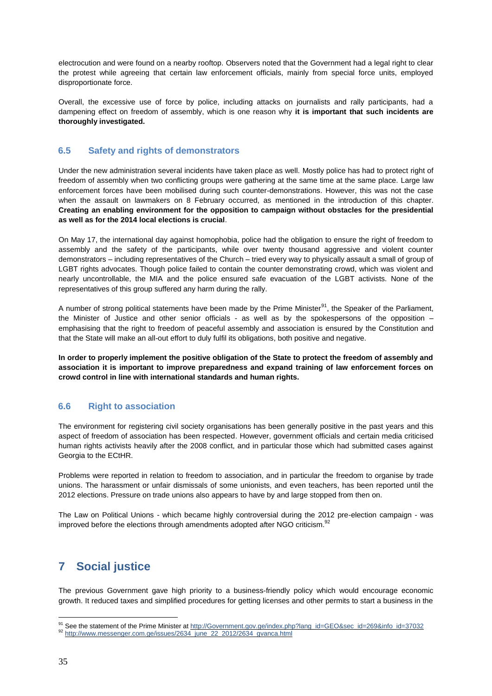electrocution and were found on a nearby rooftop. Observers noted that the Government had a legal right to clear the protest while agreeing that certain law enforcement officials, mainly from special force units, employed disproportionate force.

Overall, the excessive use of force by police, including attacks on journalists and rally participants, had a dampening effect on freedom of assembly, which is one reason why **it is important that such incidents are thoroughly investigated.** 

#### **6.5 Safety and rights of demonstrators**

Under the new administration several incidents have taken place as well. Mostly police has had to protect right of freedom of assembly when two conflicting groups were gathering at the same time at the same place. Large law enforcement forces have been mobilised during such counter-demonstrations. However, this was not the case when the assault on lawmakers on 8 February occurred, as mentioned in the introduction of this chapter. **Creating an enabling environment for the opposition to campaign without obstacles for the presidential as well as for the 2014 local elections is crucial**.

On May 17, the international day against homophobia, police had the obligation to ensure the right of freedom to assembly and the safety of the participants, while over twenty thousand aggressive and violent counter demonstrators – including representatives of the Church – tried every way to physically assault a small of group of LGBT rights advocates. Though police failed to contain the counter demonstrating crowd, which was violent and nearly uncontrollable, the MIA and the police ensured safe evacuation of the LGBT activists. None of the representatives of this group suffered any harm during the rally.

A number of strong political statements have been made by the Prime Minister<sup>91</sup>, the Speaker of the Parliament, the Minister of Justice and other senior officials - as well as by the spokespersons of the opposition – emphasising that the right to freedom of peaceful assembly and association is ensured by the Constitution and that the State will make an all-out effort to duly fulfil its obligations, both positive and negative.

**In order to properly implement the positive obligation of the State to protect the freedom of assembly and association it is important to improve preparedness and expand training of law enforcement forces on crowd control in line with international standards and human rights.**

#### **6.6 Right to association**

The environment for registering civil society organisations has been generally positive in the past years and this aspect of freedom of association has been respected. However, government officials and certain media criticised human rights activists heavily after the 2008 conflict, and in particular those which had submitted cases against Georgia to the ECtHR.

Problems were reported in relation to freedom to association, and in particular the freedom to organise by trade unions. The harassment or unfair dismissals of some unionists, and even teachers, has been reported until the 2012 elections. Pressure on trade unions also appears to have by and large stopped from then on.

The Law on Political Unions - which became highly controversial during the 2012 pre-election campaign - was improved before the elections through amendments adopted after NGO criticism.<sup>92</sup>

# **7 Social justice**

The previous Government gave high priority to a business-friendly policy which would encourage economic growth. It reduced taxes and simplified procedures for getting licenses and other permits to start a business in the

 $\overline{a}$ 91 See the statement of the Prime Minister at [http://Government.gov.ge/index.php?lang\\_id=GEO&sec\\_id=269&info\\_id=37032](http://government.gov.ge/index.php?lang_id=geo&sec_id=269&info_id=37032)

<sup>92</sup> [http://www.messenger.com.ge/issues/2634\\_june\\_22\\_2012/2634\\_gvanca.html](http://www.messenger.com.ge/issues/2634_june_22_2012/2634_gvanca.html)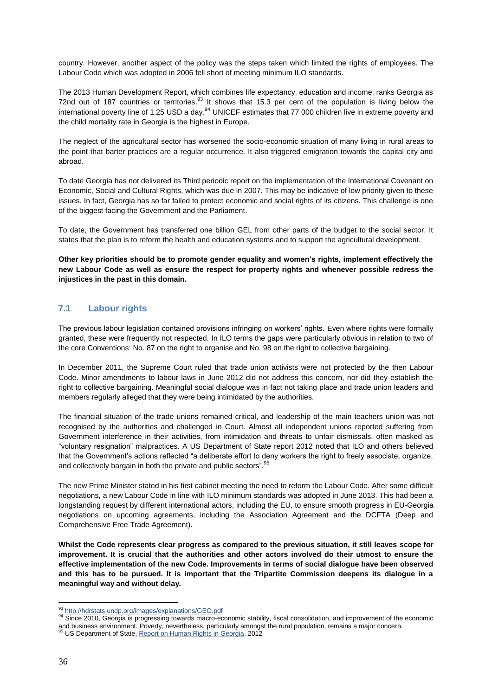country. However, another aspect of the policy was the steps taken which limited the rights of employees. The Labour Code which was adopted in 2006 fell short of meeting minimum ILO standards.

The 2013 Human Development Report, which combines life expectancy, education and income, ranks Georgia as 72nd out of 187 countries or territories.<sup>93</sup> It shows that 15.3 per cent of the population is living below the international poverty line of 1.25 USD a day.<sup>94</sup> UNICEF estimates that 77 000 children live in extreme poverty and the child mortality rate in Georgia is the highest in Europe.

The neglect of the agricultural sector has worsened the socio-economic situation of many living in rural areas to the point that barter practices are a regular occurrence. It also triggered emigration towards the capital city and abroad.

To date Georgia has not delivered its Third periodic report on the implementation of the International Covenant on Economic, Social and Cultural Rights, which was due in 2007. This may be indicative of low priority given to these issues. In fact, Georgia has so far failed to protect economic and social rights of its citizens. This challenge is one of the biggest facing the Government and the Parliament.

To date, the Government has transferred one billion GEL from other parts of the budget to the social sector. It states that the plan is to reform the health and education systems and to support the agricultural development.

**Other key priorities should be to promote gender equality and women's rights, implement effectively the new Labour Code as well as ensure the respect for property rights and whenever possible redress the injustices in the past in this domain.**

#### **7.1 Labour rights**

The previous labour legislation contained provisions infringing on workers' rights. Even where rights were formally granted, these were frequently not respected. In ILO terms the gaps were particularly obvious in relation to two of the core Conventions: No. 87 on the right to organise and No. 98 on the right to collective bargaining.

In December 2011, the Supreme Court ruled that trade union activists were not protected by the then Labour Code. Minor amendments to labour laws in June 2012 did not address this concern, nor did they establish the right to collective bargaining. Meaningful social dialogue was in fact not taking place and trade union leaders and members regularly alleged that they were being intimidated by the authorities.

The financial situation of the trade unions remained critical, and leadership of the main teachers union was not recognised by the authorities and challenged in Court. Almost all independent unions reported suffering from Government interference in their activities, from intimidation and threats to unfair dismissals, often masked as "voluntary resignation" malpractices. A US Department of State report 2012 noted that ILO and others believed that the Government's actions reflected "a deliberate effort to deny workers the right to freely associate, organize, and collectively bargain in both the private and public sectors". 95

The new Prime Minister stated in his first cabinet meeting the need to reform the Labour Code. After some difficult negotiations, a new Labour Code in line with ILO minimum standards was adopted in June 2013. This had been a longstanding request by different international actors, including the EU, to ensure smooth progress in EU-Georgia negotiations on upcoming agreements, including the Association Agreement and the DCFTA (Deep and Comprehensive Free Trade Agreement).

**Whilst the Code represents clear progress as compared to the previous situation, it still leaves scope for improvement. It is crucial that the authorities and other actors involved do their utmost to ensure the effective implementation of the new Code. Improvements in terms of social dialogue have been observed and this has to be pursued. It is important that the Tripartite Commission deepens its dialogue in a meaningful way and without delay.**

 $\overline{a}$ 93 [http://hdrstats.undp.org/images/explanations/GEO.pdf](http://hdrstats.undp.org/images/explanations/geo.pdf)

<sup>94</sup> Since 2010, Georgia is progressing towards macro-economic stability, fiscal consolidation, and improvement of the economic and business environment. Poverty, nevertheless, particularly amongst the rural population, remains a major concern.<br><sup>95</sup> US Department of State, <u>Report on Human Rights in Georgia</u>, 2012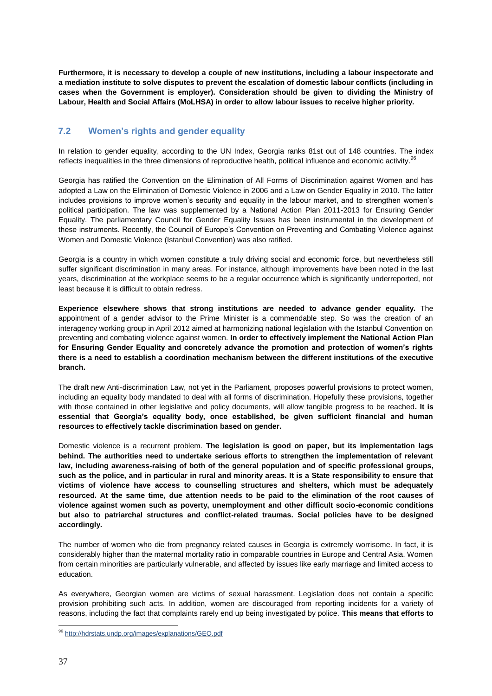**Furthermore, it is necessary to develop a couple of new institutions, including a labour inspectorate and a mediation institute to solve disputes to prevent the escalation of domestic labour conflicts (including in cases when the Government is employer). Consideration should be given to dividing the Ministry of Labour, Health and Social Affairs (MoLHSA) in order to allow labour issues to receive higher priority.** 

#### **7.2 Women's rights and gender equality**

In relation to gender equality, according to the UN Index, Georgia ranks 81st out of 148 countries. The index reflects inequalities in the three dimensions of reproductive health, political influence and economic activity.<sup>96</sup>

Georgia has ratified the Convention on the Elimination of All Forms of Discrimination against Women and has adopted a Law on the Elimination of Domestic Violence in 2006 and a Law on Gender Equality in 2010. The latter includes provisions to improve women's security and equality in the labour market, and to strengthen women's political participation. The law was supplemented by a National Action Plan 2011-2013 for Ensuring Gender Equality. The parliamentary Council for Gender Equality Issues has been instrumental in the development of these instruments. Recently, the Council of Europe's Convention on Preventing and Combating Violence against Women and Domestic Violence (Istanbul Convention) was also ratified.

Georgia is a country in which women constitute a truly driving social and economic force, but nevertheless still suffer significant discrimination in many areas. For instance, although improvements have been noted in the last years, discrimination at the workplace seems to be a regular occurrence which is significantly underreported, not least because it is difficult to obtain redress.

**Experience elsewhere shows that strong institutions are needed to advance gender equality.** The appointment of a gender advisor to the Prime Minister is a commendable step. So was the creation of an interagency working group in April 2012 aimed at harmonizing national legislation with the Istanbul Convention on preventing and combating violence against women. **In order to effectively implement the National Action Plan for Ensuring Gender Equality and concretely advance the promotion and protection of women's rights there is a need to establish a coordination mechanism between the different institutions of the executive branch.**

The draft new Anti-discrimination Law, not yet in the Parliament, proposes powerful provisions to protect women, including an equality body mandated to deal with all forms of discrimination. Hopefully these provisions, together with those contained in other legislative and policy documents, will allow tangible progress to be reached**. It is essential that Georgia's equality body, once established, be given sufficient financial and human resources to effectively tackle discrimination based on gender.** 

Domestic violence is a recurrent problem. **The legislation is good on paper, but its implementation lags behind. The authorities need to undertake serious efforts to strengthen the implementation of relevant law, including awareness-raising of both of the general population and of specific professional groups, such as the police, and in particular in rural and minority areas. It is a State responsibility to ensure that victims of violence have access to counselling structures and shelters, which must be adequately resourced. At the same time, due attention needs to be paid to the elimination of the root causes of violence against women such as poverty, unemployment and other difficult socio-economic conditions but also to patriarchal structures and conflict-related traumas. Social policies have to be designed accordingly.** 

The number of women who die from pregnancy related causes in Georgia is extremely worrisome. In fact, it is considerably higher than the maternal mortality ratio in comparable countries in Europe and Central Asia. Women from certain minorities are particularly vulnerable, and affected by issues like early marriage and limited access to education.

As everywhere, Georgian women are victims of sexual harassment. Legislation does not contain a specific provision prohibiting such acts. In addition, women are discouraged from reporting incidents for a variety of reasons, including the fact that complaints rarely end up being investigated by police. **This means that efforts to** 

 $\overline{a}$ 96 [http://hdrstats.undp.org/images/explanations/GEO.pdf](http://hdrstats.undp.org/images/explanations/geo.pdf)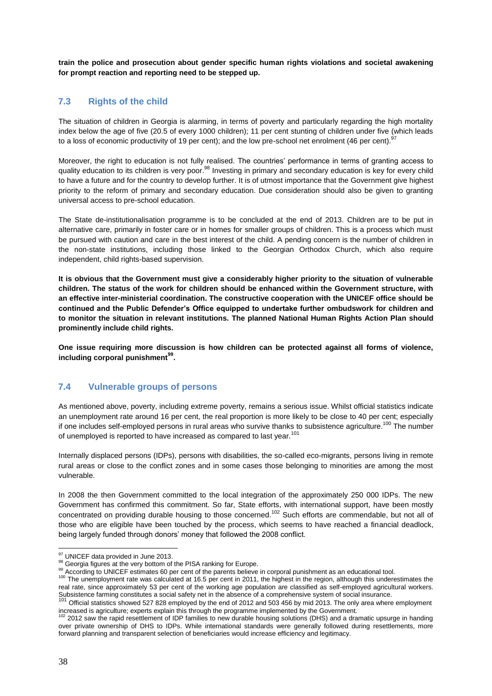**train the police and prosecution about gender specific human rights violations and societal awakening for prompt reaction and reporting need to be stepped up.**

#### **7.3 Rights of the child**

The situation of children in Georgia is alarming, in terms of poverty and particularly regarding the high mortality index below the age of five (20.5 of every 1000 children); 11 per cent stunting of children under five (which leads to a loss of economic productivity of 19 per cent); and the low pre-school net enrolment (46 per cent). <sup>97</sup>

Moreover, the right to education is not fully realised. The countries' performance in terms of granting access to quality education to its children is very poor.<sup>98</sup> Investing in primary and secondary education is key for every child to have a future and for the country to develop further. It is of utmost importance that the Government give highest priority to the reform of primary and secondary education. Due consideration should also be given to granting universal access to pre-school education.

The State de-institutionalisation programme is to be concluded at the end of 2013. Children are to be put in alternative care, primarily in foster care or in homes for smaller groups of children. This is a process which must be pursued with caution and care in the best interest of the child. A pending concern is the number of children in the non-state institutions, including those linked to the Georgian Orthodox Church, which also require independent, child rights-based supervision.

**It is obvious that the Government must give a considerably higher priority to the situation of vulnerable children. The status of the work for children should be enhanced within the Government structure, with an effective inter-ministerial coordination. The constructive cooperation with the UNICEF office should be continued and the Public Defender's Office equipped to undertake further ombudswork for children and to monitor the situation in relevant institutions. The planned National Human Rights Action Plan should prominently include child rights.**

**One issue requiring more discussion is how children can be protected against all forms of violence, including corporal punishment<sup>99</sup> .**

#### **7.4 Vulnerable groups of persons**

As mentioned above, poverty, including extreme poverty, remains a serious issue. Whilst official statistics indicate an unemployment rate around 16 per cent, the real proportion is more likely to be close to 40 per cent; especially if one includes self-employed persons in rural areas who survive thanks to subsistence agriculture.<sup>100</sup> The number of unemployed is reported to have increased as compared to last year.<sup>101</sup>

Internally displaced persons (IDPs), persons with disabilities, the so-called eco-migrants, persons living in remote rural areas or close to the conflict zones and in some cases those belonging to minorities are among the most vulnerable.

In 2008 the then Government committed to the local integration of the approximately 250 000 IDPs. The new Government has confirmed this commitment. So far, State efforts, with international support, have been mostly concentrated on providing durable housing to those concerned.<sup>102</sup> Such efforts are commendable, but not all of those who are eligible have been touched by the process, which seems to have reached a financial deadlock, being largely funded through donors' money that followed the 2008 conflict.

 $\overline{a}$ <sup>97</sup> UNICEF data provided in June 2013.

<sup>98</sup> Georgia figures at the very bottom of the PISA ranking for Europe.

<sup>99</sup> According to UNICEF estimates 60 per cent of the parents believe in corporal punishment as an educational tool.

<sup>&</sup>lt;sup>100</sup> The unemployment rate was calculated at 16.5 per cent in 2011, the highest in the region, although this underestimates the real rate, since approximately 53 per cent of the working age population are classified as self-employed agricultural workers. Subsistence farming constitutes a social safety net in the absence of a comprehensive system of social insurance.<br><sup>101</sup> Official statistics showed 527 828 employed by the end of 2012 and 503 456 by mid 2013. The only area

increased is agriculture; experts explain this through the programme implemented by the Government.

 $2012$  saw the rapid resettlement of IDP families to new durable housing solutions (DHS) and a dramatic upsurge in handing over private ownership of DHS to IDPs. While international standards were generally followed during resettlements, more forward planning and transparent selection of beneficiaries would increase efficiency and legitimacy.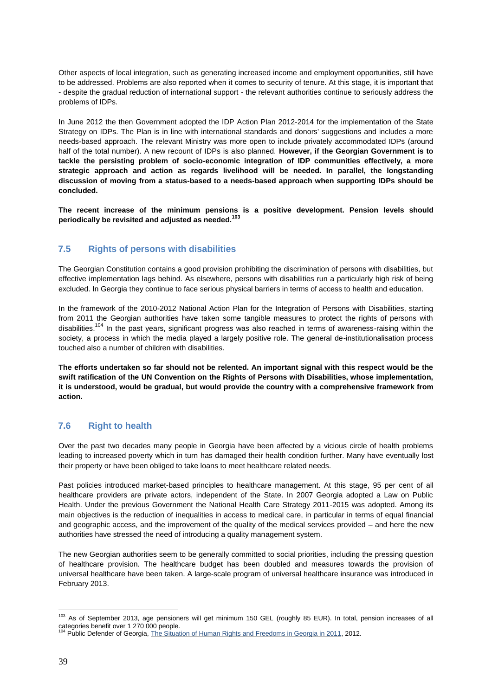Other aspects of local integration, such as generating increased income and employment opportunities, still have to be addressed. Problems are also reported when it comes to security of tenure. At this stage, it is important that - despite the gradual reduction of international support - the relevant authorities continue to seriously address the problems of IDPs.

In June 2012 the then Government adopted the IDP Action Plan 2012-2014 for the implementation of the State Strategy on IDPs. The Plan is in line with international standards and donors' suggestions and includes a more needs-based approach. The relevant Ministry was more open to include privately accommodated IDPs (around half of the total number). A new recount of IDPs is also planned. **However, if the Georgian Government is to tackle the persisting problem of socio-economic integration of IDP communities effectively, a more strategic approach and action as regards livelihood will be needed. In parallel, the longstanding discussion of moving from a status-based to a needs-based approach when supporting IDPs should be concluded.**

**The recent increase of the minimum pensions is a positive development. Pension levels should periodically be revisited and adjusted as needed.<sup>103</sup>**

#### **7.5 Rights of persons with disabilities**

The Georgian Constitution contains a good provision prohibiting the discrimination of persons with disabilities, but effective implementation lags behind. As elsewhere, persons with disabilities run a particularly high risk of being excluded. In Georgia they continue to face serious physical barriers in terms of access to health and education.

In the framework of the 2010-2012 National Action Plan for the Integration of Persons with Disabilities, starting from 2011 the Georgian authorities have taken some tangible measures to protect the rights of persons with disabilities.<sup>104</sup> In the past years, significant progress was also reached in terms of awareness-raising within the society, a process in which the media played a largely positive role. The general de-institutionalisation process touched also a number of children with disabilities.

**The efforts undertaken so far should not be relented. An important signal with this respect would be the swift ratification of the UN Convention on the Rights of Persons with Disabilities, whose implementation, it is understood, would be gradual, but would provide the country with a comprehensive framework from action.**

#### **7.6 Right to health**

Over the past two decades many people in Georgia have been affected by a vicious circle of health problems leading to increased poverty which in turn has damaged their health condition further. Many have eventually lost their property or have been obliged to take loans to meet healthcare related needs.

Past policies introduced market-based principles to healthcare management. At this stage, 95 per cent of all healthcare providers are private actors, independent of the State. In 2007 Georgia adopted a Law on Public Health. Under the previous Government the National Health Care Strategy 2011-2015 was adopted. Among its main objectives is the reduction of inequalities in access to medical care, in particular in terms of equal financial and geographic access, and the improvement of the quality of the medical services provided – and here the new authorities have stressed the need of introducing a quality management system.

The new Georgian authorities seem to be generally committed to social priorities, including the pressing question of healthcare provision. The healthcare budget has been doubled and measures towards the provision of universal healthcare have been taken. A large-scale program of universal healthcare insurance was introduced in February 2013.

 $\overline{a}$ <sup>103</sup> As of September 2013, age pensioners will get minimum 150 GEL (roughly 85 EUR). In total, pension increases of all categories benefit over 1 270 000 people.<br><sup>104</sup> Public Defender of Georgia, <u>The Situation of Human Rights and Freedoms in Georgia in 2011</u>, 2012.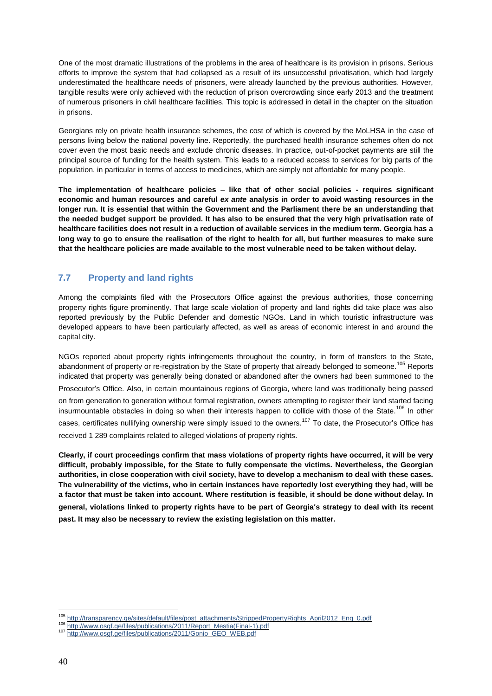One of the most dramatic illustrations of the problems in the area of healthcare is its provision in prisons. Serious efforts to improve the system that had collapsed as a result of its unsuccessful privatisation, which had largely underestimated the healthcare needs of prisoners, were already launched by the previous authorities. However, tangible results were only achieved with the reduction of prison overcrowding since early 2013 and the treatment of numerous prisoners in civil healthcare facilities. This topic is addressed in detail in the chapter on the situation in prisons.

Georgians rely on private health insurance schemes, the cost of which is covered by the MoLHSA in the case of persons living below the national poverty line. Reportedly, the purchased health insurance schemes often do not cover even the most basic needs and exclude chronic diseases. In practice, out-of-pocket payments are still the principal source of funding for the health system. This leads to a reduced access to services for big parts of the population, in particular in terms of access to medicines, which are simply not affordable for many people.

**The implementation of healthcare policies – like that of other social policies - requires significant economic and human resources and careful** *ex ante* **analysis in order to avoid wasting resources in the longer run. It is essential that within the Government and the Parliament there be an understanding that the needed budget support be provided. It has also to be ensured that the very high privatisation rate of healthcare facilities does not result in a reduction of available services in the medium term. Georgia has a long way to go to ensure the realisation of the right to health for all, but further measures to make sure that the healthcare policies are made available to the most vulnerable need to be taken without delay.** 

#### **7.7 Property and land rights**

Among the complaints filed with the Prosecutors Office against the previous authorities, those concerning property rights figure prominently. That large scale violation of property and land rights did take place was also reported previously by the Public Defender and domestic NGOs. Land in which touristic infrastructure was developed appears to have been particularly affected, as well as areas of economic interest in and around the capital city.

NGOs reported about property rights infringements throughout the country, in form of transfers to the State, abandonment of property or re-registration by the State of property that already belonged to someone.<sup>105</sup> Reports indicated that property was generally being donated or abandoned after the owners had been summoned to the Prosecutor's Office. Also, in certain mountainous regions of Georgia, where land was traditionally being passed on from generation to generation without formal registration, owners attempting to register their land started facing insurmountable obstacles in doing so when their interests happen to collide with those of the State.<sup>106</sup> In other cases, certificates nullifying ownership were simply issued to the owners.<sup>107</sup> To date, the Prosecutor's Office has received 1 289 complaints related to alleged violations of property rights.

**Clearly, if court proceedings confirm that mass violations of property rights have occurred, it will be very difficult, probably impossible, for the State to fully compensate the victims. Nevertheless, the Georgian authorities, in close cooperation with civil society, have to develop a mechanism to deal with these cases. The vulnerability of the victims, who in certain instances have reportedly lost everything they had, will be a factor that must be taken into account. Where restitution is feasible, it should be done without delay. In general, violations linked to property rights have to be part of Georgia**'**s strategy to deal with its recent past. It may also be necessary to review the existing legislation on this matter.**

 $\overline{a}$ <sup>105</sup> [http://transparency.ge/sites/default/files/post\\_attachments/StrippedPropertyRights\\_April2012\\_Eng\\_0.pdf](http://transparency.ge/sites/default/files/post_attachments/strippedpropertyrights_april2012_eng_0.pdf)

<sup>106</sup> [http://www.osgf.ge/files/publications/2011/Report\\_Mestia\(Final-1\).pdf](http://www.osgf.ge/files/publications/2011/report_mestia(final-1).pdf)

<sup>107</sup> [http://www.osgf.ge/files/publications/2011/Gonio\\_GEO\\_WEB.pdf](http://www.osgf.ge/files/publications/2011/gonio_geo_web.pdf)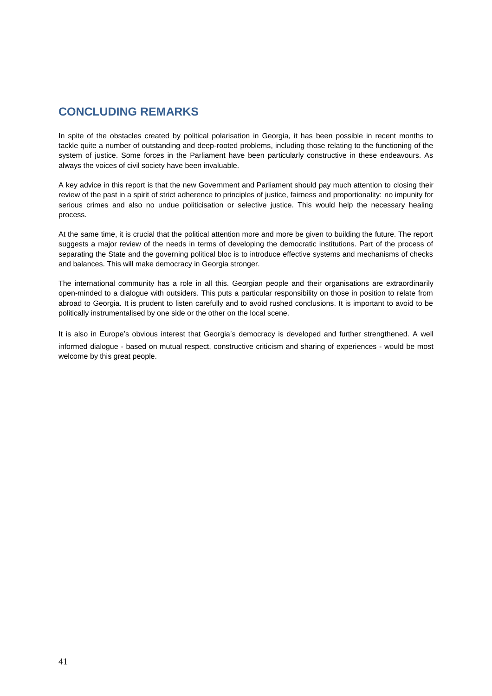# **CONCLUDING REMARKS**

In spite of the obstacles created by political polarisation in Georgia, it has been possible in recent months to tackle quite a number of outstanding and deep-rooted problems, including those relating to the functioning of the system of justice. Some forces in the Parliament have been particularly constructive in these endeavours. As always the voices of civil society have been invaluable.

A key advice in this report is that the new Government and Parliament should pay much attention to closing their review of the past in a spirit of strict adherence to principles of justice, fairness and proportionality: no impunity for serious crimes and also no undue politicisation or selective justice. This would help the necessary healing process.

At the same time, it is crucial that the political attention more and more be given to building the future. The report suggests a major review of the needs in terms of developing the democratic institutions. Part of the process of separating the State and the governing political bloc is to introduce effective systems and mechanisms of checks and balances. This will make democracy in Georgia stronger.

The international community has a role in all this. Georgian people and their organisations are extraordinarily open-minded to a dialogue with outsiders. This puts a particular responsibility on those in position to relate from abroad to Georgia. It is prudent to listen carefully and to avoid rushed conclusions. It is important to avoid to be politically instrumentalised by one side or the other on the local scene.

It is also in Europe's obvious interest that Georgia's democracy is developed and further strengthened. A well informed dialogue - based on mutual respect, constructive criticism and sharing of experiences - would be most welcome by this great people.